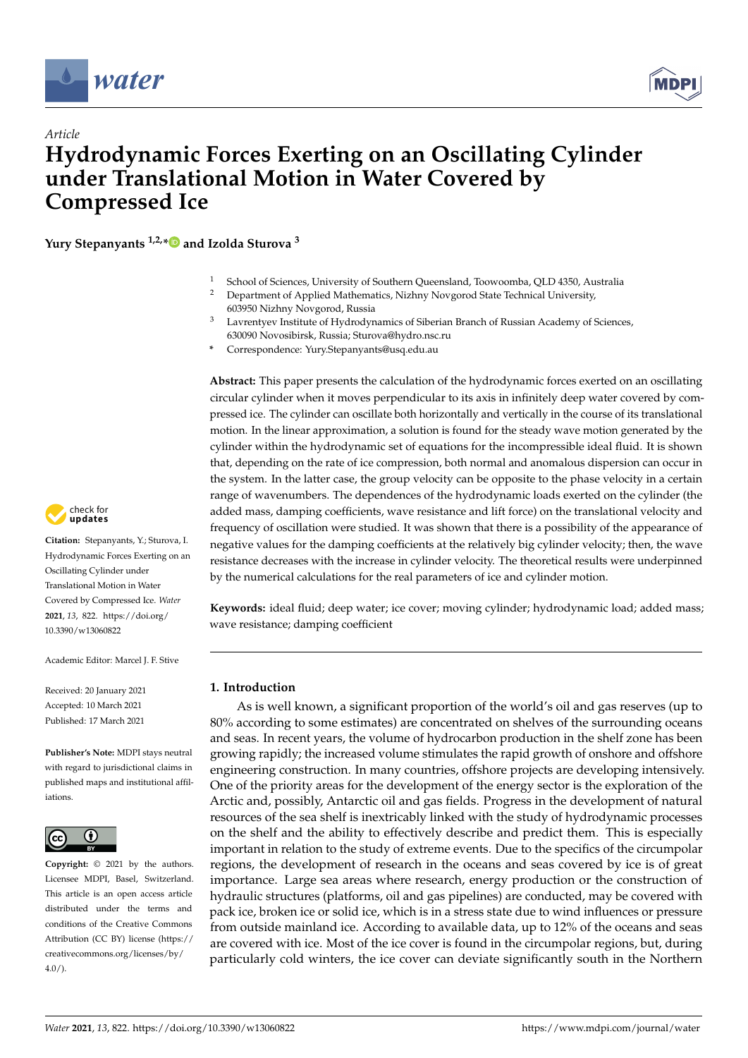



# *Article* **Hydrodynamic Forces Exerting on an Oscillating Cylinder under Translational Motion in Water Covered by Compressed Ice**

**Yury Stepanyants 1,2,[\\*](https://orcid.org/0000-0003-4546-0310) and Izolda Sturova <sup>3</sup>**

- School of Sciences, University of Southern Queensland, Toowoomba, QLD 4350, Australia
- <sup>2</sup> Department of Applied Mathematics, Nizhny Novgorod State Technical University, 603950 Nizhny Novgorod, Russia
- <sup>3</sup> Lavrentyev Institute of Hydrodynamics of Siberian Branch of Russian Academy of Sciences, 630090 Novosibirsk, Russia; Sturova@hydro.nsc.ru
- **\*** Correspondence: Yury.Stepanyants@usq.edu.au

**Abstract:** This paper presents the calculation of the hydrodynamic forces exerted on an oscillating circular cylinder when it moves perpendicular to its axis in infinitely deep water covered by compressed ice. The cylinder can oscillate both horizontally and vertically in the course of its translational motion. In the linear approximation, a solution is found for the steady wave motion generated by the cylinder within the hydrodynamic set of equations for the incompressible ideal fluid. It is shown that, depending on the rate of ice compression, both normal and anomalous dispersion can occur in the system. In the latter case, the group velocity can be opposite to the phase velocity in a certain range of wavenumbers. The dependences of the hydrodynamic loads exerted on the cylinder (the added mass, damping coefficients, wave resistance and lift force) on the translational velocity and frequency of oscillation were studied. It was shown that there is a possibility of the appearance of negative values for the damping coefficients at the relatively big cylinder velocity; then, the wave resistance decreases with the increase in cylinder velocity. The theoretical results were underpinned by the numerical calculations for the real parameters of ice and cylinder motion.

**Keywords:** ideal fluid; deep water; ice cover; moving cylinder; hydrodynamic load; added mass; wave resistance; damping coefficient

# **1. Introduction**

As is well known, a significant proportion of the world's oil and gas reserves (up to 80% according to some estimates) are concentrated on shelves of the surrounding oceans and seas. In recent years, the volume of hydrocarbon production in the shelf zone has been growing rapidly; the increased volume stimulates the rapid growth of onshore and offshore engineering construction. In many countries, offshore projects are developing intensively. One of the priority areas for the development of the energy sector is the exploration of the Arctic and, possibly, Antarctic oil and gas fields. Progress in the development of natural resources of the sea shelf is inextricably linked with the study of hydrodynamic processes on the shelf and the ability to effectively describe and predict them. This is especially important in relation to the study of extreme events. Due to the specifics of the circumpolar regions, the development of research in the oceans and seas covered by ice is of great importance. Large sea areas where research, energy production or the construction of hydraulic structures (platforms, oil and gas pipelines) are conducted, may be covered with pack ice, broken ice or solid ice, which is in a stress state due to wind influences or pressure from outside mainland ice. According to available data, up to 12% of the oceans and seas are covered with ice. Most of the ice cover is found in the circumpolar regions, but, during particularly cold winters, the ice cover can deviate significantly south in the Northern



**Citation:** Stepanyants, Y.; Sturova, I. Hydrodynamic Forces Exerting on an Oscillating Cylinder under Translational Motion in Water Covered by Compressed Ice. *Water* **2021**, *13*, 822. [https://doi.org/](https://doi.org/10.3390/w13060822) [10.3390/w13060822](https://doi.org/10.3390/w13060822)

Academic Editor: Marcel J. F. Stive

Received: 20 January 2021 Accepted: 10 March 2021 Published: 17 March 2021

**Publisher's Note:** MDPI stays neutral with regard to jurisdictional claims in published maps and institutional affiliations.



**Copyright:** © 2021 by the authors. Licensee MDPI, Basel, Switzerland. This article is an open access article distributed under the terms and conditions of the Creative Commons Attribution (CC BY) license (https:/[/](https://creativecommons.org/licenses/by/4.0/) [creativecommons.org/licenses/by/](https://creativecommons.org/licenses/by/4.0/)  $4.0/$ ).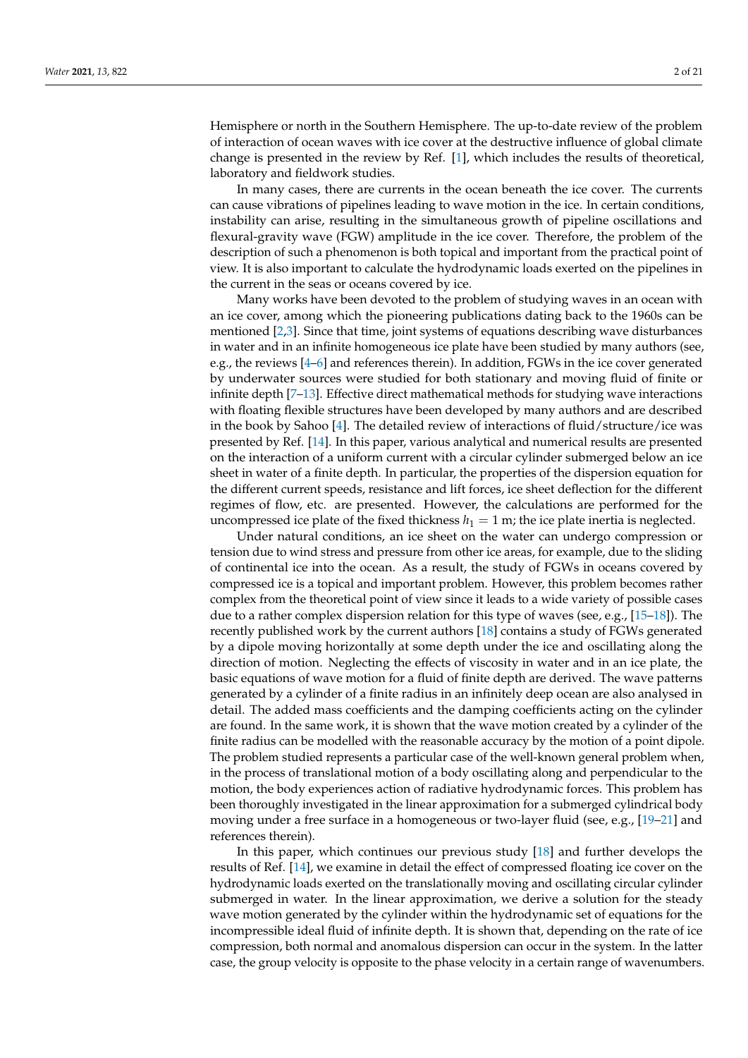Hemisphere or north in the Southern Hemisphere. The up-to-date review of the problem of interaction of ocean waves with ice cover at the destructive influence of global climate change is presented in the review by Ref. [\[1\]](#page-19-0), which includes the results of theoretical, laboratory and fieldwork studies.

In many cases, there are currents in the ocean beneath the ice cover. The currents can cause vibrations of pipelines leading to wave motion in the ice. In certain conditions, instability can arise, resulting in the simultaneous growth of pipeline oscillations and flexural-gravity wave (FGW) amplitude in the ice cover. Therefore, the problem of the description of such a phenomenon is both topical and important from the practical point of view. It is also important to calculate the hydrodynamic loads exerted on the pipelines in the current in the seas or oceans covered by ice.

Many works have been devoted to the problem of studying waves in an ocean with an ice cover, among which the pioneering publications dating back to the 1960s can be mentioned [\[2,](#page-19-1)[3\]](#page-19-2). Since that time, joint systems of equations describing wave disturbances in water and in an infinite homogeneous ice plate have been studied by many authors (see, e.g., the reviews [\[4](#page-19-3)[–6\]](#page-19-4) and references therein). In addition, FGWs in the ice cover generated by underwater sources were studied for both stationary and moving fluid of finite or infinite depth [\[7](#page-19-5)[–13\]](#page-19-6). Effective direct mathematical methods for studying wave interactions with floating flexible structures have been developed by many authors and are described in the book by Sahoo [\[4\]](#page-19-3). The detailed review of interactions of fluid/structure/ice was presented by Ref. [\[14\]](#page-19-7). In this paper, various analytical and numerical results are presented on the interaction of a uniform current with a circular cylinder submerged below an ice sheet in water of a finite depth. In particular, the properties of the dispersion equation for the different current speeds, resistance and lift forces, ice sheet deflection for the different regimes of flow, etc. are presented. However, the calculations are performed for the uncompressed ice plate of the fixed thickness  $h_1 = 1$  m; the ice plate inertia is neglected.

Under natural conditions, an ice sheet on the water can undergo compression or tension due to wind stress and pressure from other ice areas, for example, due to the sliding of continental ice into the ocean. As a result, the study of FGWs in oceans covered by compressed ice is a topical and important problem. However, this problem becomes rather complex from the theoretical point of view since it leads to a wide variety of possible cases due to a rather complex dispersion relation for this type of waves (see, e.g., [\[15](#page-19-8)[–18\]](#page-19-9)). The recently published work by the current authors [\[18\]](#page-19-9) contains a study of FGWs generated by a dipole moving horizontally at some depth under the ice and oscillating along the direction of motion. Neglecting the effects of viscosity in water and in an ice plate, the basic equations of wave motion for a fluid of finite depth are derived. The wave patterns generated by a cylinder of a finite radius in an infinitely deep ocean are also analysed in detail. The added mass coefficients and the damping coefficients acting on the cylinder are found. In the same work, it is shown that the wave motion created by a cylinder of the finite radius can be modelled with the reasonable accuracy by the motion of a point dipole. The problem studied represents a particular case of the well-known general problem when, in the process of translational motion of a body oscillating along and perpendicular to the motion, the body experiences action of radiative hydrodynamic forces. This problem has been thoroughly investigated in the linear approximation for a submerged cylindrical body moving under a free surface in a homogeneous or two-layer fluid (see, e.g., [\[19](#page-19-10)[–21\]](#page-19-11) and references therein).

In this paper, which continues our previous study [\[18\]](#page-19-9) and further develops the results of Ref. [\[14\]](#page-19-7), we examine in detail the effect of compressed floating ice cover on the hydrodynamic loads exerted on the translationally moving and oscillating circular cylinder submerged in water. In the linear approximation, we derive a solution for the steady wave motion generated by the cylinder within the hydrodynamic set of equations for the incompressible ideal fluid of infinite depth. It is shown that, depending on the rate of ice compression, both normal and anomalous dispersion can occur in the system. In the latter case, the group velocity is opposite to the phase velocity in a certain range of wavenumbers.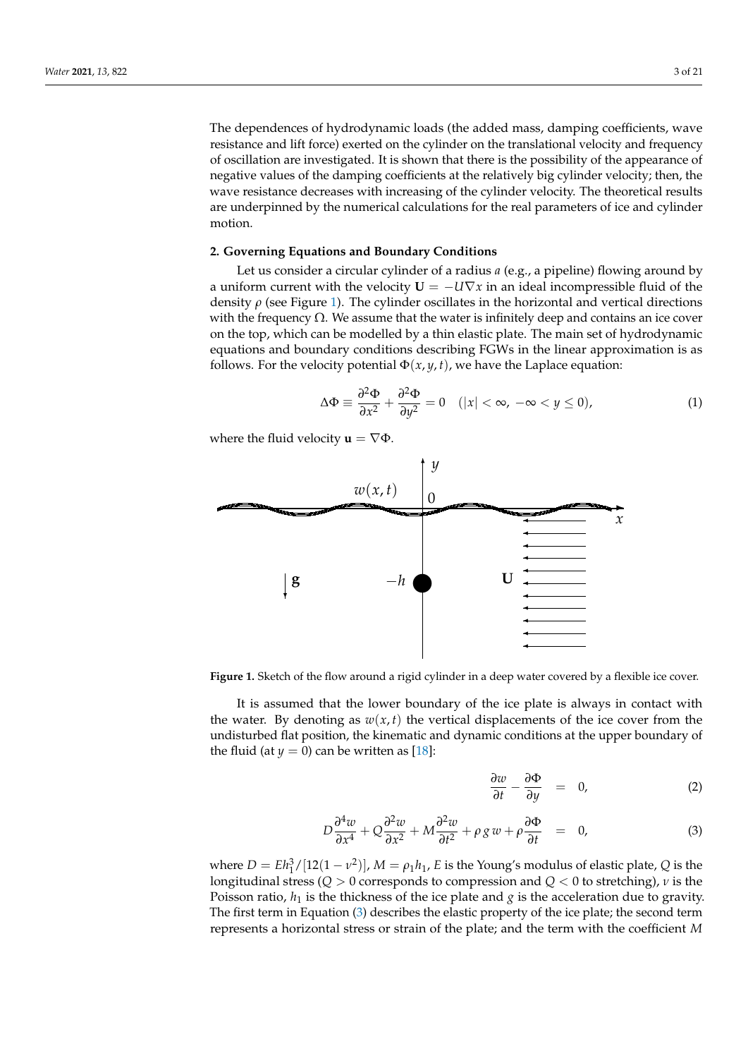The dependences of hydrodynamic loads (the added mass, damping coefficients, wave resistance and lift force) exerted on the cylinder on the translational velocity and frequency of oscillation are investigated. It is shown that there is the possibility of the appearance of negative values of the damping coefficients at the relatively big cylinder velocity; then, the wave resistance decreases with increasing of the cylinder velocity. The theoretical results are underpinned by the numerical calculations for the real parameters of ice and cylinder motion.

#### **2. Governing Equations and Boundary Conditions**

Let us consider a circular cylinder of a radius *a* (e.g., a pipeline) flowing around by a uniform current with the velocity  $U = -U\nabla x$  in an ideal incompressible fluid of the density  $\rho$  (see Figure [1\)](#page-2-0). The cylinder oscillates in the horizontal and vertical directions with the frequency Ω. We assume that the water is infinitely deep and contains an ice cover on the top, which can be modelled by a thin elastic plate. The main set of hydrodynamic equations and boundary conditions describing FGWs in the linear approximation is as follows. For the velocity potential  $\Phi(x, y, t)$ , we have the Laplace equation:

$$
\Delta \Phi \equiv \frac{\partial^2 \Phi}{\partial x^2} + \frac{\partial^2 \Phi}{\partial y^2} = 0 \quad (|x| < \infty, \ -\infty < y \le 0), \tag{1}
$$

<span id="page-2-0"></span>where the fluid velocity  $\mathbf{u} = \nabla \Phi$ .



Figure 1. Sketch of the flow around a rigid cylinder in a deep water covered by a flexible ice cover.

It is assumed that the lower boundary of the ice plate is always in contact with the water. By denoting as  $w(x, t)$  the vertical displacements of the ice cover from the undisturbed flat position, the kinematic and dynamic conditions at the upper boundary of the fluid (at  $y = 0$ ) can be written as [\[18\]](#page-19-9):

<span id="page-2-1"></span>
$$
\frac{\partial w}{\partial t} - \frac{\partial \Phi}{\partial y} = 0, \tag{2}
$$

$$
D\frac{\partial^4 w}{\partial x^4} + Q\frac{\partial^2 w}{\partial x^2} + M\frac{\partial^2 w}{\partial t^2} + \rho g w + \rho \frac{\partial \Phi}{\partial t} = 0, \tag{3}
$$

where  $D = Eh_1^3/[12(1 - v^2)]$ ,  $M = \rho_1 h_1$ , *E* is the Young's modulus of elastic plate, *Q* is the longitudinal stress (*Q* > 0 corresponds to compression and *Q* < 0 to stretching), *ν* is the Poisson ratio,  $h_1$  is the thickness of the ice plate and  $g$  is the acceleration due to gravity. The first term in Equation [\(3\)](#page-2-1) describes the elastic property of the ice plate; the second term represents a horizontal stress or strain of the plate; and the term with the coefficient *M*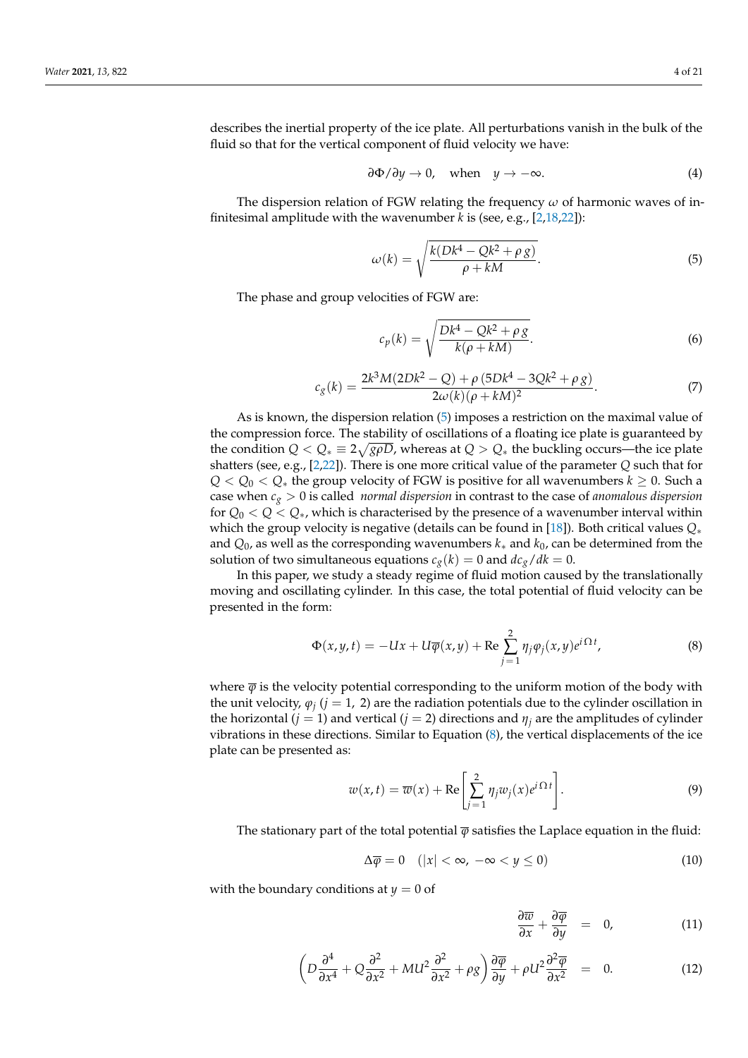describes the inertial property of the ice plate. All perturbations vanish in the bulk of the fluid so that for the vertical component of fluid velocity we have:

$$
\frac{\partial \Phi}{\partial y} \to 0, \quad \text{when} \quad y \to -\infty. \tag{4}
$$

The dispersion relation of FGW relating the frequency *ω* of harmonic waves of infinitesimal amplitude with the wavenumber *k* is (see, e.g., [\[2](#page-19-1)[,18](#page-19-9)[,22\]](#page-19-12)):

<span id="page-3-0"></span>
$$
\omega(k) = \sqrt{\frac{k(Dk^4 - Qk^2 + \rho g)}{\rho + kM}}.
$$
\n(5)

The phase and group velocities of FGW are:

$$
c_p(k) = \sqrt{\frac{Dk^4 - Qk^2 + \rho g}{k(\rho + kM)}}.
$$
\n(6)

<span id="page-3-4"></span>
$$
c_g(k) = \frac{2k^3M(2Dk^2 - Q) + \rho (5Dk^4 - 3Qk^2 + \rho g)}{2\omega(k)(\rho + kM)^2}.
$$
\n(7)

As is known, the dispersion relation [\(5\)](#page-3-0) imposes a restriction on the maximal value of the compression force. The stability of oscillations of a floating ice plate is guaranteed by the condition  $Q < Q_* \equiv 2\sqrt{g\rho D}$ , whereas at  $Q > Q_*$  the buckling occurs—the ice plate shatters (see, e.g., [\[2](#page-19-1)[,22\]](#page-19-12)). There is one more critical value of the parameter *Q* such that for *Q* < *Q*<sup>0</sup> < *Q*<sup>∗</sup> the group velocity of FGW is positive for all wavenumbers *k* ≥ 0. Such a case when *c<sup>g</sup>* > 0 is called *normal dispersion* in contrast to the case of *anomalous dispersion* for *Q*<sup>0</sup> < *Q* < *Q*∗, which is characterised by the presence of a wavenumber interval within which the group velocity is negative (details can be found in [\[18\]](#page-19-9)). Both critical values *Q*∗ and *Q*0, as well as the corresponding wavenumbers *k*∗ and *k*0, can be determined from the solution of two simultaneous equations  $c_g(k) = 0$  and  $dc_g/dk = 0$ .

In this paper, we study a steady regime of fluid motion caused by the translationally moving and oscillating cylinder. In this case, the total potential of fluid velocity can be presented in the form:

<span id="page-3-1"></span>
$$
\Phi(x, y, t) = -Ux + U\overline{\varphi}(x, y) + \text{Re}\sum_{j=1}^{2} \eta_j \varphi_j(x, y) e^{i\Omega t}, \tag{8}
$$

where  $\bar{\varphi}$  is the velocity potential corresponding to the uniform motion of the body with the unit velocity,  $\varphi_j$  ( $j = 1$ , 2) are the radiation potentials due to the cylinder oscillation in the horizontal (*j* = 1) and vertical (*j* = 2) directions and  $\eta$ <sub>*j*</sub> are the amplitudes of cylinder vibrations in these directions. Similar to Equation [\(8\)](#page-3-1), the vertical displacements of the ice plate can be presented as:

$$
w(x,t) = \overline{w}(x) + \text{Re}\left[\sum_{j=1}^{2} \eta_j w_j(x) e^{i\Omega t}\right].
$$
 (9)

The stationary part of the total potential  $\overline{\varphi}$  satisfies the Laplace equation in the fluid:

<span id="page-3-2"></span>
$$
\Delta \overline{\varphi} = 0 \quad (|x| < \infty, \ -\infty < y \le 0) \tag{10}
$$

with the boundary conditions at  $y = 0$  of

<span id="page-3-3"></span>
$$
\frac{\partial \overline{w}}{\partial x} + \frac{\partial \overline{\varphi}}{\partial y} = 0, \qquad (11)
$$

$$
\left(D\frac{\partial^4}{\partial x^4} + Q\frac{\partial^2}{\partial x^2} + MU^2 \frac{\partial^2}{\partial x^2} + \rho g\right)\frac{\partial \overline{\varphi}}{\partial y} + \rho U^2 \frac{\partial^2 \overline{\varphi}}{\partial x^2} = 0.
$$
 (12)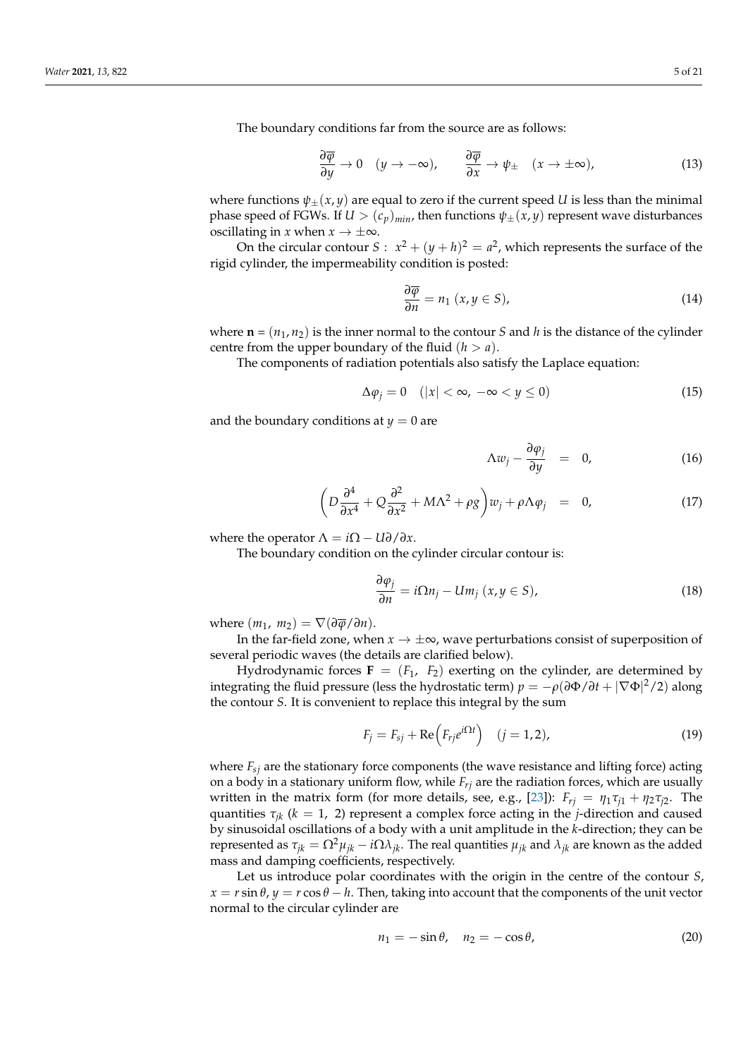The boundary conditions far from the source are as follows:

$$
\frac{\partial \overline{\varphi}}{\partial y} \to 0 \quad (y \to -\infty), \qquad \frac{\partial \overline{\varphi}}{\partial x} \to \psi_{\pm} \quad (x \to \pm \infty), \tag{13}
$$

where functions  $\psi_{\pm}(x, y)$  are equal to zero if the current speed *U* is less than the minimal phase speed of FGWs. If  $U > (c_p)_{min}$ , then functions  $\psi_{\pm}(x, y)$  represent wave disturbances oscillating in *x* when  $x \to \pm \infty$ .

On the circular contour  $S: x^2 + (y + h)^2 = a^2$ , which represents the surface of the rigid cylinder, the impermeability condition is posted:

<span id="page-4-0"></span>
$$
\frac{\partial \overline{\varphi}}{\partial n} = n_1 \ (x, y \in S), \tag{14}
$$

where  $\mathbf{n} = (n_1, n_2)$  is the inner normal to the contour *S* and *h* is the distance of the cylinder centre from the upper boundary of the fluid  $(h > a)$ .

The components of radiation potentials also satisfy the Laplace equation:

$$
\Delta \varphi_j = 0 \quad (|x| < \infty, \ -\infty < y \le 0) \tag{15}
$$

and the boundary conditions at  $y = 0$  are

<span id="page-4-2"></span>
$$
\Delta w_j - \frac{\partial \varphi_j}{\partial y} = 0, \qquad (16)
$$

$$
\left(D\frac{\partial^4}{\partial x^4} + Q\frac{\partial^2}{\partial x^2} + M\Lambda^2 + \rho g\right)w_j + \rho\Lambda\varphi_j = 0, \qquad (17)
$$

where the operator  $\Lambda = i\Omega - U\partial/\partial x$ .

The boundary condition on the cylinder circular contour is:

<span id="page-4-3"></span>
$$
\frac{\partial \varphi_j}{\partial n} = i\Omega n_j - Um_j \ (x, y \in S), \tag{18}
$$

where  $(m_1, m_2) = \nabla(\partial \overline{\varphi}/\partial n)$ .

In the far-field zone, when  $x \to \pm \infty$ , wave perturbations consist of superposition of several periodic waves (the details are clarified below).

Hydrodynamic forces  $\mathbf{F} = (F_1, F_2)$  exerting on the cylinder, are determined by integrating the fluid pressure (less the hydrostatic term)  $p = -\rho (\partial \Phi/\partial t + |\nabla \Phi|^2/2)$  along the contour *S*. It is convenient to replace this integral by the sum

$$
F_j = F_{sj} + \text{Re}\left(F_{rj}e^{i\Omega t}\right) \quad (j = 1, 2),\tag{19}
$$

where  $F_{\rm sf}$  are the stationary force components (the wave resistance and lifting force) acting on a body in a stationary uniform flow, while *Frj* are the radiation forces, which are usually written in the matrix form (for more details, see, e.g., [\[23\]](#page-19-13)):  $F_{rj} = \eta_1 \tau_{j1} + \eta_2 \tau_{j2}$ . The quantities  $\tau_{ik}$  ( $k = 1, 2$ ) represent a complex force acting in the *j*-direction and caused by sinusoidal oscillations of a body with a unit amplitude in the *k*-direction; they can be represented as  $τ_{jk} = Ω^2μ_{jk} - iΩλ_{jk}$ . The real quantities  $μ_{jk}$  and  $λ_{jk}$  are known as the added mass and damping coefficients, respectively.

Let us introduce polar coordinates with the origin in the centre of the contour *S*,  $x = r \sin \theta$ ,  $y = r \cos \theta - h$ . Then, taking into account that the components of the unit vector normal to the circular cylinder are

<span id="page-4-1"></span>
$$
n_1 = -\sin\theta, \quad n_2 = -\cos\theta,\tag{20}
$$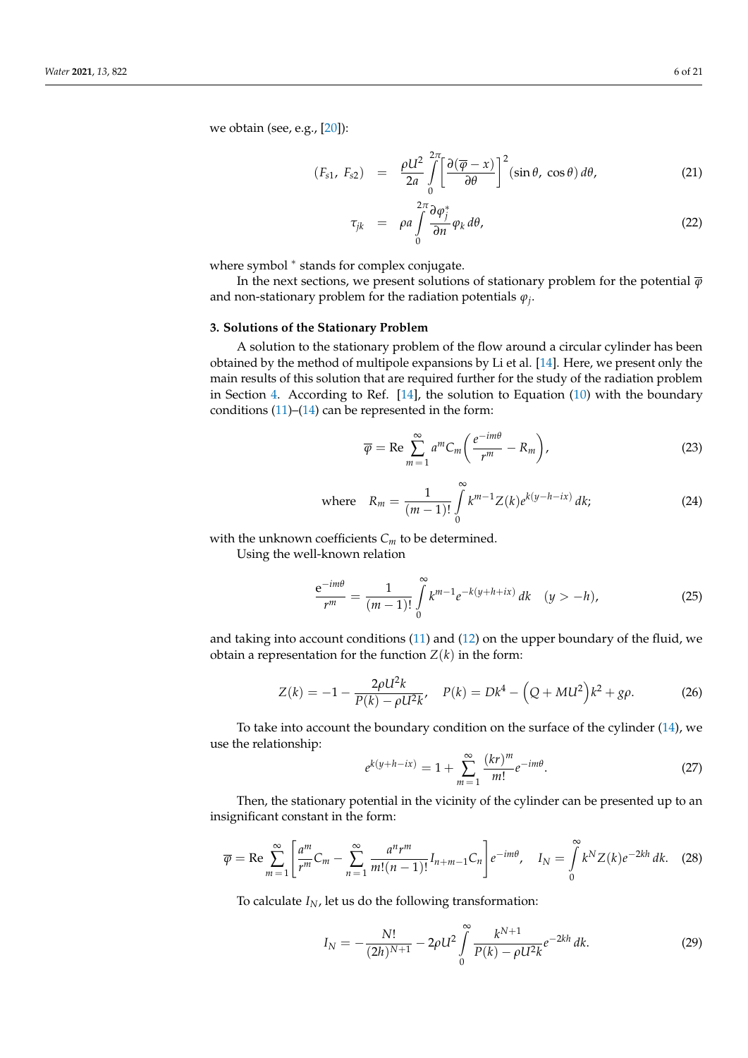<span id="page-5-3"></span>
$$
(F_{s1}, F_{s2}) = \frac{\rho U^2}{2a} \int_{0}^{2\pi} \left[ \frac{\partial (\overline{\varphi} - x)}{\partial \theta} \right]^2 (\sin \theta, \cos \theta) d\theta, \tag{21}
$$

$$
\tau_{jk} = \rho a \int_{0}^{2\pi} \frac{\partial \varphi_j^*}{\partial n} \varphi_k d\theta, \qquad (22)
$$

where symbol \* stands for complex conjugate.

In the next sections, we present solutions of stationary problem for the potential  $\overline{\varphi}$ and non-stationary problem for the radiation potentials *ϕ<sup>j</sup>* .

#### <span id="page-5-4"></span>**3. Solutions of the Stationary Problem**

A solution to the stationary problem of the flow around a circular cylinder has been obtained by the method of multipole expansions by Li et al. [\[14\]](#page-19-7). Here, we present only the main results of this solution that are required further for the study of the radiation problem in Section [4.](#page-7-0) According to Ref.  $[14]$ , the solution to Equation  $(10)$  with the boundary conditions  $(11)$ – $(14)$  can be represented in the form:

<span id="page-5-2"></span>
$$
\overline{\varphi} = \text{Re} \sum_{m=1}^{\infty} a^m C_m \left( \frac{e^{-im\theta}}{r^m} - R_m \right), \tag{23}
$$

where 
$$
R_m = \frac{1}{(m-1)!} \int_{0}^{\infty} k^{m-1} Z(k) e^{k(y-h-ix)} dk;
$$
 (24)

with the unknown coefficients  $C_m$  to be determined.

Using the well-known relation

$$
\frac{e^{-im\theta}}{r^m} = \frac{1}{(m-1)!} \int_{0}^{\infty} k^{m-1} e^{-k(y+h+ix)} \, dk \quad (y > -h), \tag{25}
$$

and taking into account conditions [\(11\)](#page-3-3) and [\(12\)](#page-3-3) on the upper boundary of the fluid, we obtain a representation for the function  $Z(k)$  in the form:

$$
Z(k) = -1 - \frac{2\rho U^2 k}{P(k) - \rho U^2 k'}, \quad P(k) = Dk^4 - \left(Q + M U^2\right) k^2 + g\rho.
$$
 (26)

To take into account the boundary condition on the surface of the cylinder [\(14\)](#page-4-0), we use the relationship:

<span id="page-5-5"></span>
$$
e^{k(y+h-ix)} = 1 + \sum_{m=1}^{\infty} \frac{(kr)^m}{m!} e^{-im\theta}.
$$
 (27)

Then, the stationary potential in the vicinity of the cylinder can be presented up to an insignificant constant in the form:

<span id="page-5-1"></span>
$$
\overline{\varphi} = \text{Re} \sum_{m=1}^{\infty} \left[ \frac{a^m}{r^m} C_m - \sum_{n=1}^{\infty} \frac{a^n r^m}{m!(n-1)!} I_{n+m-1} C_n \right] e^{-im\theta}, \quad I_N = \int_{0}^{\infty} k^N Z(k) e^{-2kh} dk. \tag{28}
$$

To calculate  $I_N$ , let us do the following transformation:

<span id="page-5-0"></span>
$$
I_N = -\frac{N!}{(2h)^{N+1}} - 2\rho U^2 \int\limits_0^\infty \frac{k^{N+1}}{P(k) - \rho U^2 k} e^{-2kh} \, dk. \tag{29}
$$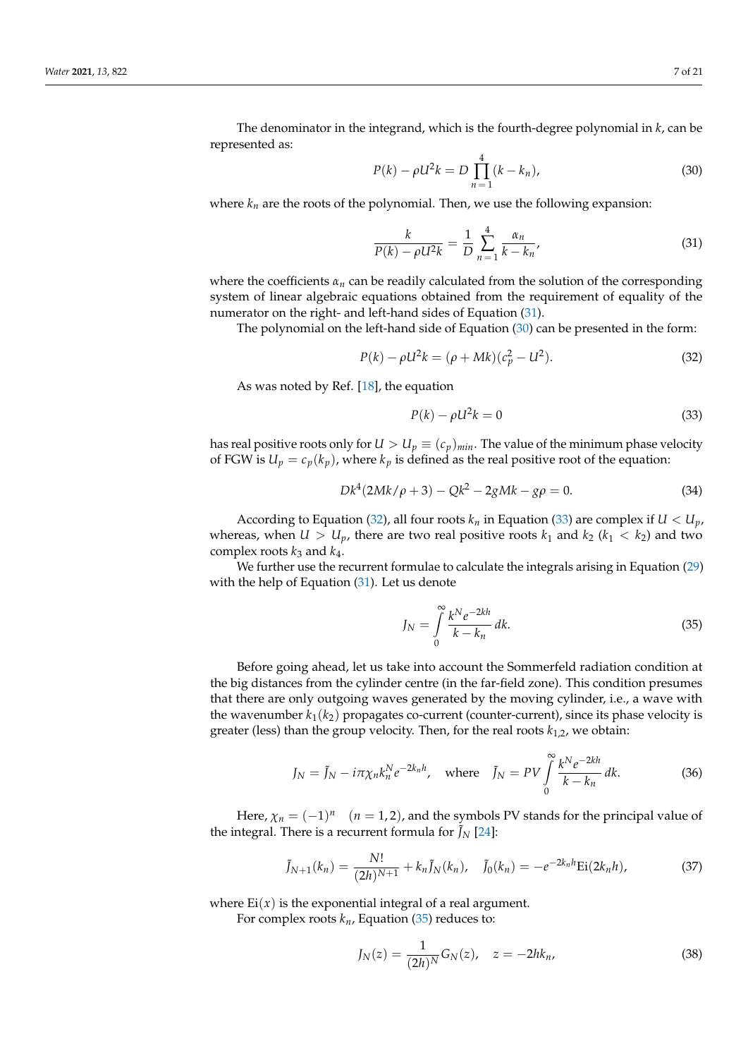The denominator in the integrand, which is the fourth-degree polynomial in *k*, can be represented as:

<span id="page-6-1"></span>
$$
P(k) - \rho U^2 k = D \prod_{n=1}^{4} (k - k_n),
$$
\n(30)

where  $k_n$  are the roots of the polynomial. Then, we use the following expansion:

<span id="page-6-0"></span>
$$
\frac{k}{P(k) - \rho U^2 k} = \frac{1}{D} \sum_{n=1}^{4} \frac{\alpha_n}{k - k_n},
$$
\n(31)

where the coefficients  $\alpha_n$  can be readily calculated from the solution of the corresponding system of linear algebraic equations obtained from the requirement of equality of the numerator on the right- and left-hand sides of Equation [\(31\)](#page-6-0).

The polynomial on the left-hand side of Equation [\(30\)](#page-6-1) can be presented in the form:

<span id="page-6-2"></span>
$$
P(k) - \rho U^2 k = (\rho + Mk)(c_p^2 - U^2).
$$
 (32)

As was noted by Ref. [\[18\]](#page-19-9), the equation

<span id="page-6-3"></span>
$$
P(k) - \rho U^2 k = 0 \tag{33}
$$

has real positive roots only for  $U > U_p \equiv (c_p)_{min}$ . The value of the minimum phase velocity of FGW is  $U_p = c_p(k_p)$ , where  $k_p$  is defined as the real positive root of the equation:

$$
Dk^4(2Mk/\rho + 3) - Qk^2 - 2gMk - g\rho = 0.
$$
 (34)

According to Equation [\(32\)](#page-6-2), all four roots  $k_n$  in Equation [\(33\)](#page-6-3) are complex if  $U < U_p$ , whereas, when  $U > U_p$ , there are two real positive roots  $k_1$  and  $k_2$  ( $k_1 < k_2$ ) and two complex roots  $k_3$  and  $k_4$ .

We further use the recurrent formulae to calculate the integrals arising in Equation [\(29\)](#page-5-0) with the help of Equation [\(31\)](#page-6-0). Let us denote

<span id="page-6-4"></span>
$$
J_N = \int_0^\infty \frac{k^N e^{-2kh}}{k - k_n} dk.
$$
\n(35)

Before going ahead, let us take into account the Sommerfeld radiation condition at the big distances from the cylinder centre (in the far-field zone). This condition presumes that there are only outgoing waves generated by the moving cylinder, i.e., a wave with the wavenumber  $k_1(k_2)$  propagates co-current (counter-current), since its phase velocity is greater (less) than the group velocity. Then, for the real roots *k*1,2, we obtain:

<span id="page-6-5"></span>
$$
J_N = \tilde{J}_N - i\pi \chi_n k_n^N e^{-2k_n h}, \quad \text{where} \quad \tilde{J}_N = PV \int_0^\infty \frac{k^N e^{-2kh}}{k - k_n} dk. \tag{36}
$$

Here,  $\chi_n = (-1)^n$  (*n* = 1, 2), and the symbols PV stands for the principal value of the integral. There is a recurrent formula for  $\tilde{J}_N$  [\[24\]](#page-19-15):

<span id="page-6-6"></span>
$$
\tilde{J}_{N+1}(k_n) = \frac{N!}{(2h)^{N+1}} + k_n \tilde{J}_N(k_n), \quad \tilde{J}_0(k_n) = -e^{-2k_n h} \text{Ei}(2k_n h), \tag{37}
$$

where  $Ei(x)$  is the exponential integral of a real argument.

For complex roots  $k_n$ , Equation [\(35\)](#page-6-4) reduces to:

$$
J_N(z) = \frac{1}{(2h)^N} G_N(z), \quad z = -2h k_n,
$$
\n(38)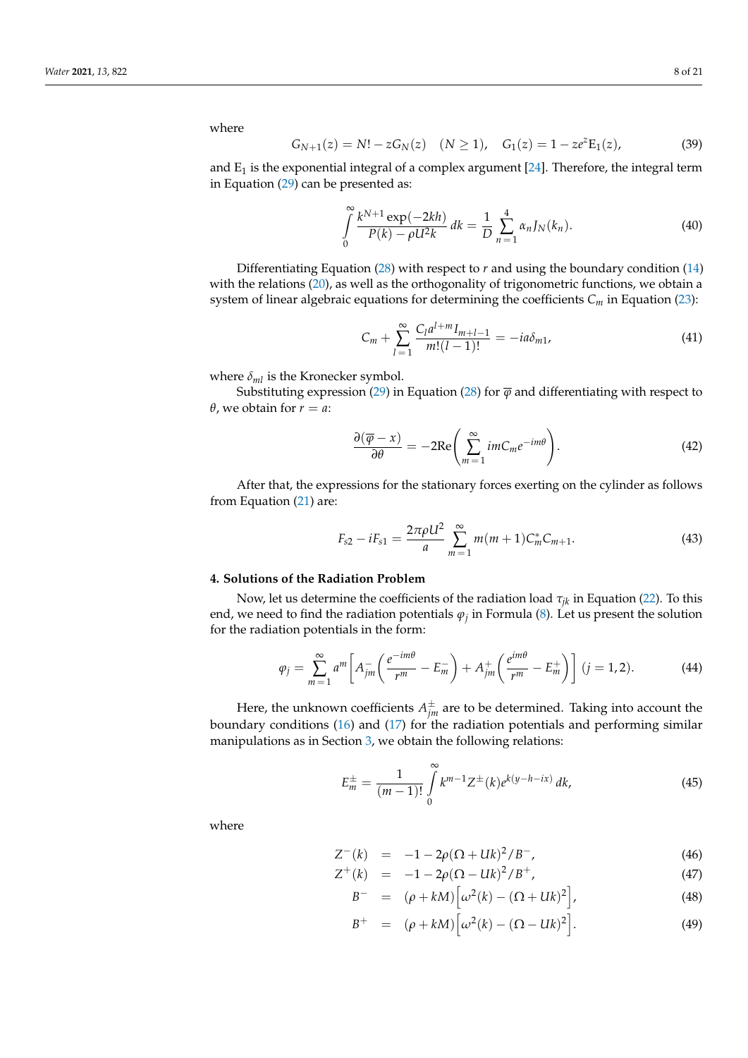where

<span id="page-7-3"></span>
$$
G_{N+1}(z) = N! - zG_N(z) \quad (N \ge 1), \quad G_1(z) = 1 - ze^z E_1(z), \tag{39}
$$

and  $E_1$  is the exponential integral of a complex argument [\[24\]](#page-19-15). Therefore, the integral term in Equation [\(29\)](#page-5-0) can be presented as:

$$
\int_{0}^{\infty} \frac{k^{N+1} \exp(-2kh)}{P(k) - \rho U^2 k} dk = \frac{1}{D} \sum_{n=1}^{4} \alpha_n J_N(k_n).
$$
 (40)

Differentiating Equation [\(28\)](#page-5-1) with respect to *r* and using the boundary condition [\(14\)](#page-4-0) with the relations  $(20)$ , as well as the orthogonality of trigonometric functions, we obtain a system of linear algebraic equations for determining the coefficients *C<sup>m</sup>* in Equation [\(23\)](#page-5-2):

$$
C_m + \sum_{l=1}^{\infty} \frac{C_l a^{l+m} I_{m+l-1}}{m!(l-1)!} = -ia\delta_{m1},\tag{41}
$$

where  $\delta_{ml}$  is the Kronecker symbol.

Substituting expression [\(29\)](#page-5-0) in Equation [\(28\)](#page-5-1) for  $\overline{\varphi}$  and differentiating with respect to *θ*, we obtain for  $r = a$ :

$$
\frac{\partial(\overline{\varphi}-x)}{\partial\theta}=-2\text{Re}\left(\sum_{m=1}^{\infty}imC_{m}e^{-im\theta}\right).
$$
\n(42)

After that, the expressions for the stationary forces exerting on the cylinder as follows from Equation [\(21\)](#page-5-3) are:

<span id="page-7-4"></span>
$$
F_{s2} - iF_{s1} = \frac{2\pi\rho U^2}{a} \sum_{m=1}^{\infty} m(m+1) C_m^* C_{m+1}.
$$
 (43)

# <span id="page-7-0"></span>**4. Solutions of the Radiation Problem**

Now, let us determine the coefficients of the radiation load  $\tau_{ik}$  in Equation [\(22\)](#page-5-3). To this end, we need to find the radiation potentials  $\varphi_j$  in Formula [\(8\)](#page-3-1). Let us present the solution for the radiation potentials in the form:

<span id="page-7-2"></span>
$$
\varphi_j = \sum_{m=1}^{\infty} a^m \left[ A_{jm}^- \left( \frac{e^{-im\theta}}{r^m} - E_m^- \right) + A_{jm}^+ \left( \frac{e^{im\theta}}{r^m} - E_m^+ \right) \right] (j=1,2). \tag{44}
$$

Here, the unknown coefficients  $A^\pm_{jm}$  are to be determined. Taking into account the boundary conditions [\(16\)](#page-4-2) and [\(17\)](#page-4-2) for the radiation potentials and performing similar manipulations as in Section [3,](#page-5-4) we obtain the following relations:

$$
E_m^{\pm} = \frac{1}{(m-1)!} \int_0^{\infty} k^{m-1} Z^{\pm}(k) e^{k(y-h-ix)} \, dk,\tag{45}
$$

where

<span id="page-7-1"></span>
$$
Z^-(k) = -1 - 2\rho(\Omega + Uk)^2/B^-, \tag{46}
$$

$$
Z^+(k) = -1 - 2\rho(\Omega - Uk)^2/B^+, \qquad (47)
$$

$$
B^{-} = (\rho + kM) \left[ \omega^{2}(k) - (\Omega + Uk)^{2} \right],
$$
 (48)

$$
B^{+} = (\rho + kM) \left[ \omega^{2}(k) - (\Omega - Uk)^{2} \right]. \tag{49}
$$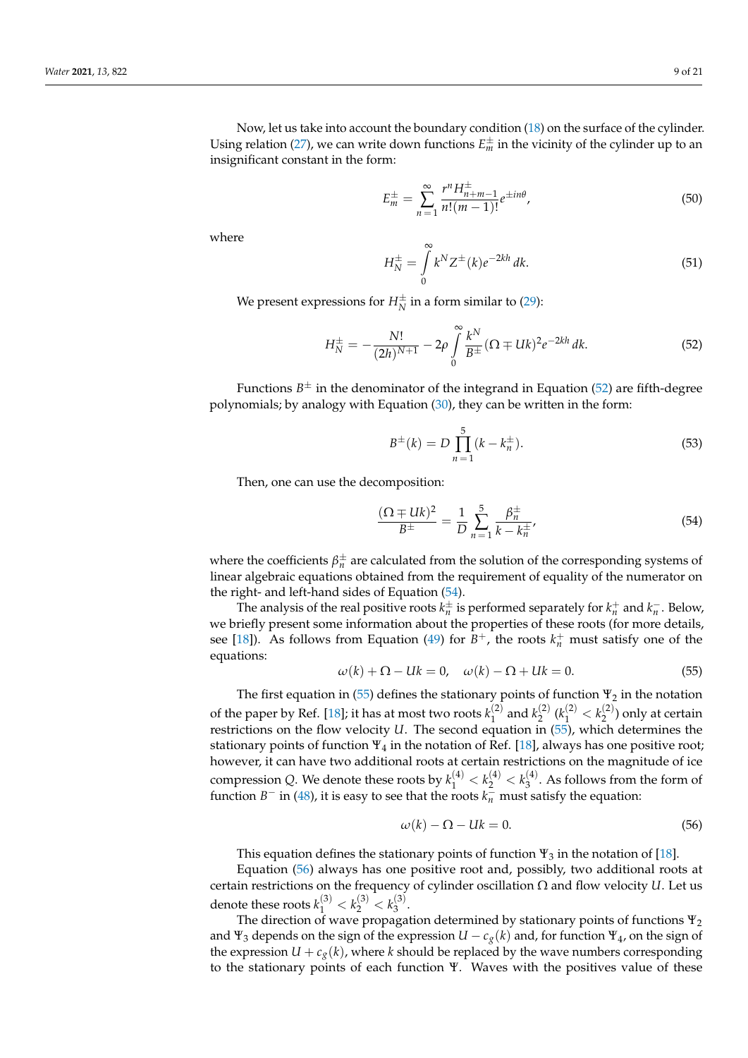Now, let us take into account the boundary condition [\(18\)](#page-4-3) on the surface of the cylinder. Using relation [\(27\)](#page-5-5), we can write down functions  $E_m^{\pm}$  in the vicinity of the cylinder up to an insignificant constant in the form:

<span id="page-8-4"></span>
$$
E_m^{\pm} = \sum_{n=1}^{\infty} \frac{r^n H_{n+m-1}^{\pm}}{n!(m-1)!} e^{\pm in\theta},\tag{50}
$$

where

$$
H_N^{\pm} = \int_{0}^{\infty} k^N Z^{\pm}(k) e^{-2kh} dk.
$$
 (51)

We present expressions for  $H_N^\pm$  in a form similar to [\(29\)](#page-5-0):

*H*

<span id="page-8-0"></span>
$$
H_N^{\pm} = -\frac{N!}{(2h)^{N+1}} - 2\rho \int_0^\infty \frac{k^N}{B^{\pm}} (\Omega \mp Uk)^2 e^{-2kh} dk.
$$
 (52)

Functions  $B^{\pm}$  in the denominator of the integrand in Equation [\(52\)](#page-8-0) are fifth-degree polynomials; by analogy with Equation [\(30\)](#page-6-1), they can be written in the form:

$$
B^{\pm}(k) = D \prod_{n=1}^{5} (k - k_n^{\pm}).
$$
\n(53)

Then, one can use the decomposition:

<span id="page-8-1"></span>
$$
\frac{(\Omega \pm Uk)^2}{B^{\pm}} = \frac{1}{D} \sum_{n=1}^{5} \frac{\beta_n^{\pm}}{k - k_n^{\pm}},
$$
(54)

where the coefficients  $\beta_n^{\pm}$  are calculated from the solution of the corresponding systems of linear algebraic equations obtained from the requirement of equality of the numerator on the right- and left-hand sides of Equation [\(54\)](#page-8-1).

The analysis of the real positive roots  $k_n^{\pm}$  is performed separately for  $k_n^+$  and  $k_n^-$ . Below, we briefly present some information about the properties of these roots (for more details, see [\[18\]](#page-19-9)). As follows from Equation [\(49\)](#page-7-1) for  $B^+$ , the roots  $k_n^+$  must satisfy one of the equations:

<span id="page-8-2"></span>
$$
\omega(k) + \Omega - Uk = 0, \quad \omega(k) - \Omega + Uk = 0.
$$
\n<sup>(55)</sup>

The first equation in [\(55\)](#page-8-2) defines the stationary points of function  $\Psi_2$  in the notation of the paper by Ref. [\[18\]](#page-19-9); it has at most two roots  $k_1^{(2)}$  $\binom{2}{1}$  and  $k_2^{(2)}$  $\binom{2}{2}$  ( $k_1^{(2)} < k_2^{(2)}$  $2^{(2)}$ ) only at certain restrictions on the flow velocity *U*. The second equation in [\(55\)](#page-8-2), which determines the stationary points of function  $\Psi_4$  in the notation of Ref. [\[18\]](#page-19-9), always has one positive root; however, it can have two additional roots at certain restrictions on the magnitude of ice compression *Q*. We denote these roots by  $k_1^{(4)} < k_2^{(4)} < k_3^{(4)}$  $3^{(4)}$ . As follows from the form of function *B*<sup>−</sup> in [\(48\)](#page-7-1), it is easy to see that the roots  $k_n$ <sup>–</sup> must satisfy the equation:

<span id="page-8-3"></span>
$$
\omega(k) - \Omega - Uk = 0. \tag{56}
$$

This equation defines the stationary points of function  $\Psi_3$  in the notation of [\[18\]](#page-19-9).

Equation [\(56\)](#page-8-3) always has one positive root and, possibly, two additional roots at certain restrictions on the frequency of cylinder oscillation Ω and flow velocity *U*. Let us denote these roots  $k_1^{(3)} < k_2^{(3)} < k_3^{(3)}$  $\frac{1}{3}$ .

The direction of wave propagation determined by stationary points of functions  $\Psi_2$ and  $\Psi_3$  depends on the sign of the expression  $U - c_g(k)$  and, for function  $\Psi_4$ , on the sign of the expression  $U + c_g(k)$ , where *k* should be replaced by the wave numbers corresponding to the stationary points of each function Ψ. Waves with the positives value of these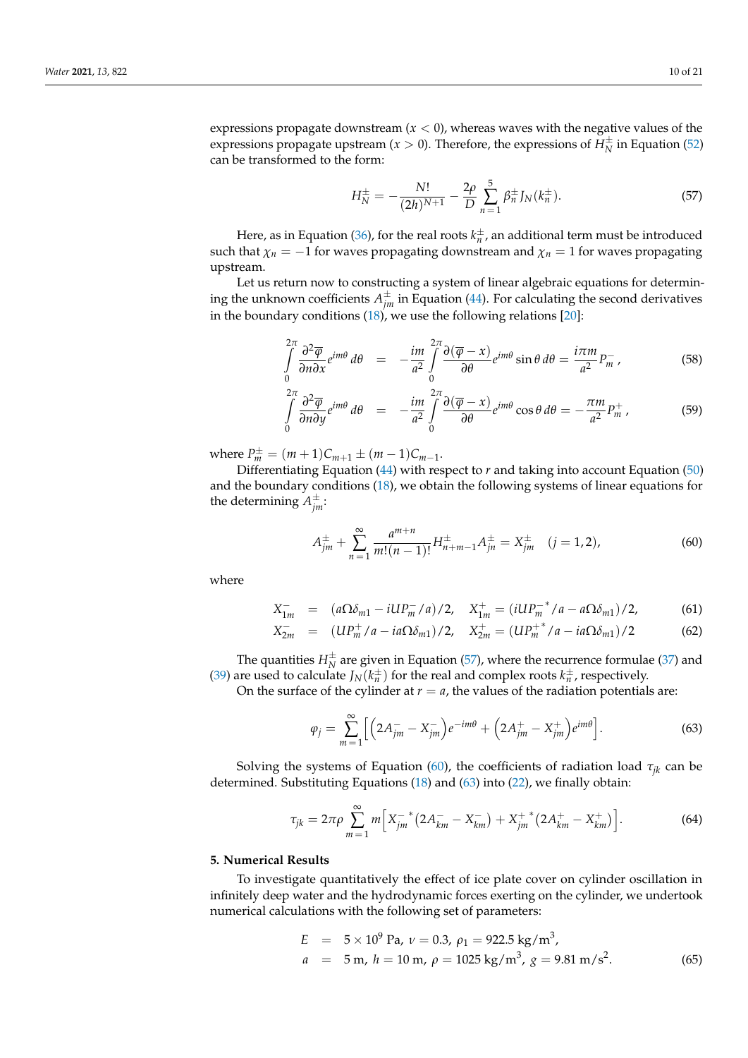expressions propagate downstream  $(x < 0)$ , whereas waves with the negative values of the expressions propagate upstream ( $x > 0$ ). Therefore, the expressions of  $\overrightarrow{H}_{N}^{\pm}$  in Equation [\(52\)](#page-8-0) can be transformed to the form:

<span id="page-9-0"></span>
$$
H_N^{\pm} = -\frac{N!}{(2h)^{N+1}} - \frac{2\rho}{D} \sum_{n=1}^5 \beta_n^{\pm} J_N(k_n^{\pm}).
$$
 (57)

Here, as in Equation [\(36\)](#page-6-5), for the real roots  $k_n^{\pm}$ , an additional term must be introduced such that  $\chi_n = -1$  for waves propagating downstream and  $\chi_n = 1$  for waves propagating upstream.

Let us return now to constructing a system of linear algebraic equations for determining the unknown coefficients  $A_{jm}^{\pm}$  in Equation [\(44\)](#page-7-2). For calculating the second derivatives in the boundary conditions [\(18\)](#page-4-3), we use the following relations [\[20\]](#page-19-14):

$$
\int_{0}^{2\pi} \frac{\partial^2 \overline{\varphi}}{\partial n \partial x} e^{im\theta} d\theta = -\frac{im}{a^2} \int_{0}^{2\pi} \frac{\partial (\overline{\varphi} - x)}{\partial \theta} e^{im\theta} \sin \theta d\theta = \frac{i\pi m}{a^2} P_m^-, \tag{58}
$$

$$
\int_{0}^{2\pi} \frac{\partial^2 \overline{\varphi}}{\partial n \partial y} e^{im\theta} d\theta = -\frac{im}{a^2} \int_{0}^{2\pi} \frac{\partial (\overline{\varphi} - x)}{\partial \theta} e^{im\theta} \cos \theta d\theta = -\frac{\pi m}{a^2} P_m^+, \tag{59}
$$

 $\text{where } P_m^{\pm} = (m+1)C_{m+1} \pm (m-1)C_{m-1}.$ 

Differentiating Equation [\(44\)](#page-7-2) with respect to  $r$  and taking into account Equation [\(50\)](#page-8-4) and the boundary conditions [\(18\)](#page-4-3), we obtain the following systems of linear equations for the determining  $A_{jm}^{\pm}$ :

<span id="page-9-1"></span>
$$
A_{jm}^{\pm} + \sum_{n=1}^{\infty} \frac{a^{m+n}}{m!(n-1)!} H_{n+m-1}^{\pm} A_{jn}^{\pm} = X_{jm}^{\pm} \quad (j = 1, 2), \tag{60}
$$

where

$$
X_{1m}^- = (a\Omega\delta_{m1} - iUP_m^-/a)/2, \quad X_{1m}^+ = (iUP_m^{-*}/a - a\Omega\delta_{m1})/2,\tag{61}
$$

$$
X_{2m}^{-} = (UP_{m}^{+}/a - ia\Omega\delta_{m1})/2, \quad X_{2m}^{+} = (UP_{m}^{+*}/a - ia\Omega\delta_{m1})/2
$$
 (62)

The quantities  $H_N^{\pm}$  are given in Equation [\(57\)](#page-9-0), where the recurrence formulae [\(37\)](#page-6-6) and [\(39\)](#page-7-3) are used to calculate  $J_N(k_n^{\pm})$  for the real and complex roots  $k_n^{\pm}$ , respectively.

On the surface of the cylinder at  $r = a$ , the values of the radiation potentials are:

<span id="page-9-2"></span>
$$
\varphi_j = \sum_{m=1}^{\infty} \left[ \left( 2A_{jm}^- - X_{jm}^- \right) e^{-im\theta} + \left( 2A_{jm}^+ - X_{jm}^+ \right) e^{im\theta} \right]. \tag{63}
$$

Solving the systems of Equation [\(60\)](#page-9-1), the coefficients of radiation load  $\tau_{ik}$  can be determined. Substituting Equations [\(18\)](#page-4-3) and [\(63\)](#page-9-2) into [\(22\)](#page-5-3), we finally obtain:

<span id="page-9-4"></span>
$$
\tau_{jk} = 2\pi \rho \sum_{m=1}^{\infty} m \Big[ X_{jm}^{-*} \big( 2A_{km}^- - X_{km}^- \big) + X_{jm}^{+*} \big( 2A_{km}^+ - X_{km}^+ \big) \Big]. \tag{64}
$$

#### **5. Numerical Results**

To investigate quantitatively the effect of ice plate cover on cylinder oscillation in infinitely deep water and the hydrodynamic forces exerting on the cylinder, we undertook numerical calculations with the following set of parameters:

<span id="page-9-3"></span>
$$
E = 5 \times 10^{9} \text{ Pa}, \nu = 0.3, \rho_1 = 922.5 \text{ kg/m}^3,
$$
  
\n
$$
a = 5 \text{ m}, h = 10 \text{ m}, \rho = 1025 \text{ kg/m}^3, g = 9.81 \text{ m/s}^2.
$$
 (65)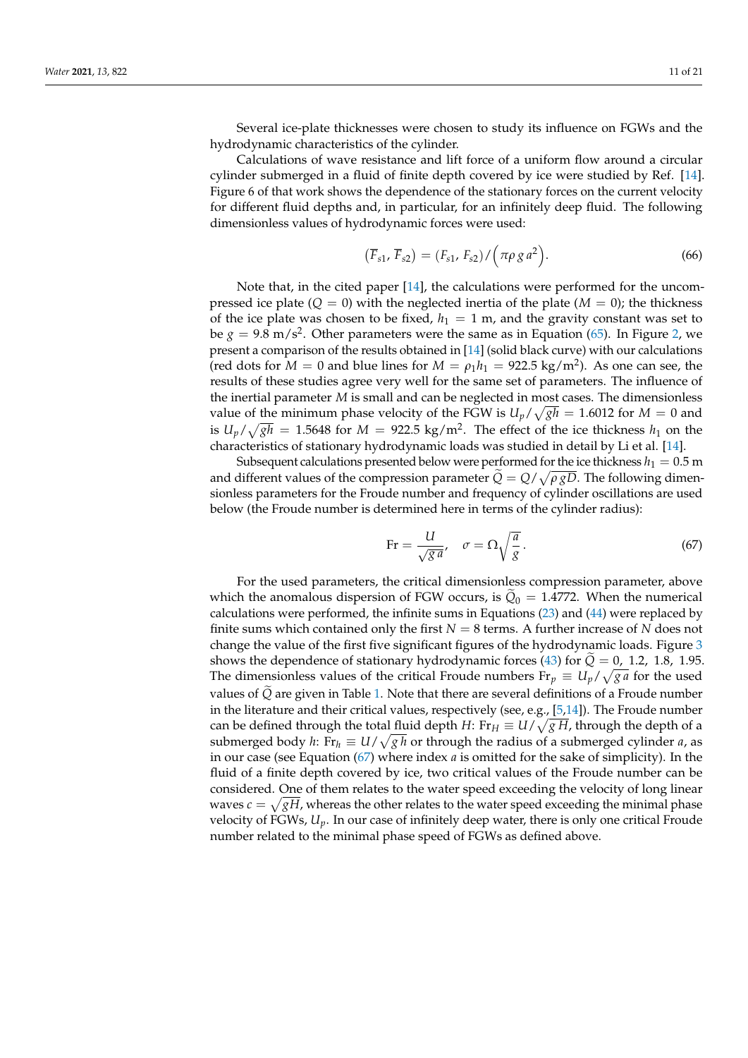Several ice-plate thicknesses were chosen to study its influence on FGWs and the hydrodynamic characteristics of the cylinder.

Calculations of wave resistance and lift force of a uniform flow around a circular cylinder submerged in a fluid of finite depth covered by ice were studied by Ref. [\[14\]](#page-19-7). Figure 6 of that work shows the dependence of the stationary forces on the current velocity for different fluid depths and, in particular, for an infinitely deep fluid. The following dimensionless values of hydrodynamic forces were used:

$$
(\overline{F}_{s1}, \overline{F}_{s2}) = (F_{s1}, F_{s2}) / (\pi \rho g a^2).
$$
 (66)

Note that, in the cited paper [\[14\]](#page-19-7), the calculations were performed for the uncompressed ice plate  $(Q = 0)$  with the neglected inertia of the plate  $(M = 0)$ ; the thickness of the ice plate was chosen to be fixed,  $h_1 = 1$  m, and the gravity constant was set to be  $g = 9.8$  m/s<sup>2</sup>. Other parameters were the same as in Equation [\(65\)](#page-9-3). In Figure [2,](#page-11-0) we present a comparison of the results obtained in [\[14\]](#page-19-7) (solid black curve) with our calculations (red dots for  $M = 0$  and blue lines for  $M = \rho_1 h_1 = 922.5 \text{ kg/m}^2$ ). As one can see, the results of these studies agree very well for the same set of parameters. The influence of the inertial parameter *M* is small and can be neglected in most cases. The dimensionless value of the minimum phase velocity of the FGW is  $U_p / \sqrt{gh} = 1.6012$  for  $M = 0$  and is  $U_p/\sqrt{gh} = 1.5648$  for  $M = 922.5$  kg/m<sup>2</sup>. The effect of the ice thickness  $h_1$  on the characteristics of stationary hydrodynamic loads was studied in detail by Li et al. [\[14\]](#page-19-7).

Subsequent calculations presented below were performed for the ice thickness  $h_1 = 0.5$  m and different values of the compression parameter  $\dot{Q} = Q/\sqrt{\rho g D}$ . The following dimensionless parameters for the Froude number and frequency of cylinder oscillations are used below (the Froude number is determined here in terms of the cylinder radius):

<span id="page-10-0"></span>
$$
\text{Fr} = \frac{U}{\sqrt{g}a}, \quad \sigma = \Omega \sqrt{\frac{a}{g}}. \tag{67}
$$

For the used parameters, the critical dimensionless compression parameter, above which the anomalous dispersion of FGW occurs, is  $Q_0 = 1.4772$ . When the numerical calculations were performed, the infinite sums in Equations [\(23\)](#page-5-2) and [\(44\)](#page-7-2) were replaced by finite sums which contained only the first  $N = 8$  terms. A further increase of  $N$  does not change the value of the first five significant figures of the hydrodynamic loads. Figure [3](#page-11-1) shows the dependence of stationary hydrodynamic forces [\(43\)](#page-7-4) for  $Q = 0$ , 1.2, 1.8, 1.95. The dimensionless values of the critical Froude numbers  $Fr_p \equiv U_p / \sqrt{ga}$  for the used values of *Q* are given in Table [1.](#page-12-0) Note that there are several definitions of a Froude number in the literature and their critical values, respectively (see, e.g., [\[5,](#page-19-16)[14\]](#page-19-7)). The Froude number can be defined through the total fluid depth *H*: Fr $_H \equiv U/\sqrt{g\,H}$ , through the depth of a submerged body *h*: Fr $_h \equiv U/\sqrt{g \, h}$  or through the radius of a submerged cylinder *a*, as in our case (see Equation [\(67\)](#page-10-0) where index *a* is omitted for the sake of simplicity). In the fluid of a finite depth covered by ice, two critical values of the Froude number can be considered. One of them relates to the water speed exceeding the velocity of long linear waves  $c = \sqrt{gH}$ , whereas the other relates to the water speed exceeding the minimal phase velocity of FGWs, *Up*. In our case of infinitely deep water, there is only one critical Froude number related to the minimal phase speed of FGWs as defined above.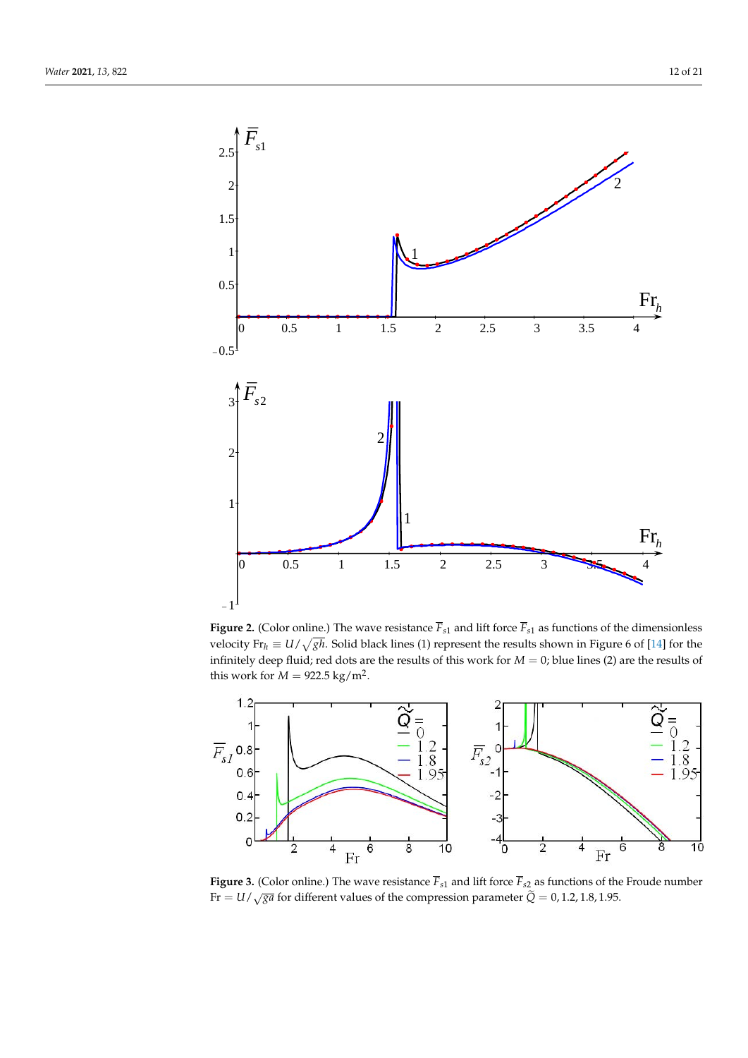<span id="page-11-0"></span>

**Figure 2.** (Color online.) The wave resistance  $\overline{F}_{s1}$  and lift force  $\overline{F}_{s1}$  as functions of the dimensionless velocity  $Fr_h \equiv U/\sqrt{gh}$ . Solid black lines (1) represent the results shown in Figure 6 of [\[14\]](#page-19-7) for the infinitely deep fluid; red dots are the results of this work for *M* = 0; blue lines (2) are the results of this work for  $M = 922.5$  kg/m<sup>2</sup>.

<span id="page-11-1"></span>

**Figure 3.** (Color online.) The wave resistance  $\overline{F}_{s1}$  and lift force  $\overline{F}_{s2}$  as functions of the Froude number Fr  $= U/\sqrt{g}$  for different values of the compression parameter  $\tilde{Q} = 0, 1.2, 1.8, 1.95$ .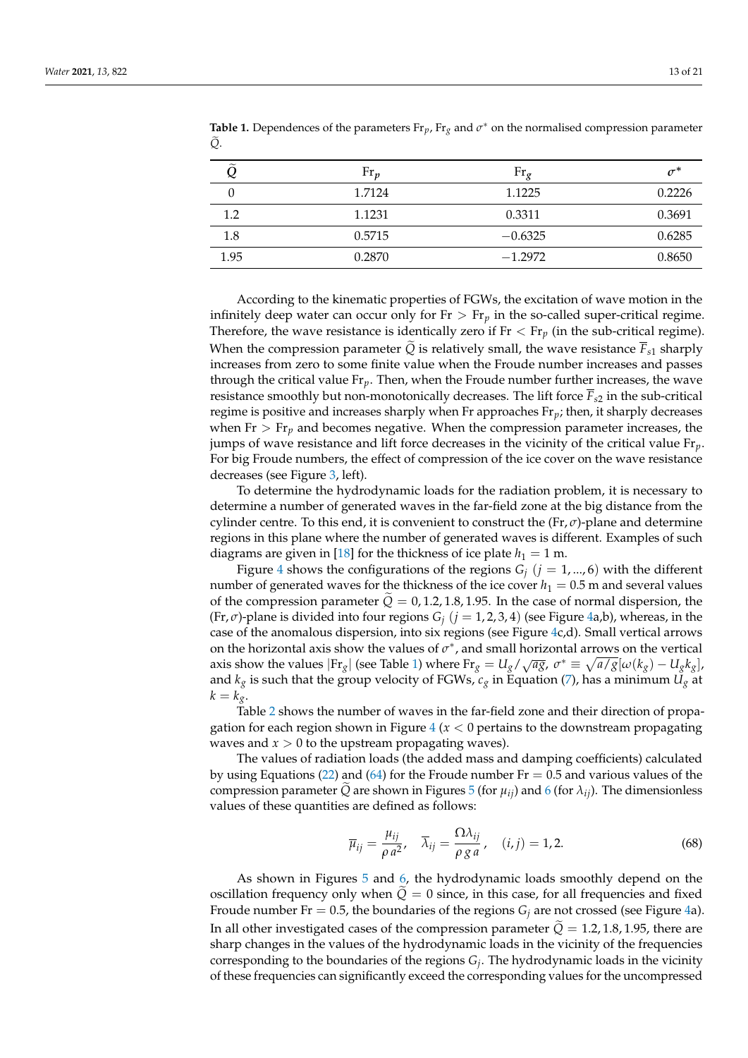| $\widetilde{\phantom{m}}$ | $\text{Fr}_{p}$ | $Fr_{\sigma}$ | $\sigma^*$ |
|---------------------------|-----------------|---------------|------------|
|                           | 1.7124          | 1.1225        | 0.2226     |
| 1.2                       | 1.1231          | 0.3311        | 0.3691     |
| 1.8                       | 0.5715          | $-0.6325$     | 0.6285     |
| 1.95                      | 0.2870          | $-1.2972$     | 0.8650     |

<span id="page-12-0"></span>**Table 1.** Dependences of the parameters  $Fr_p$ ,  $Fr_g$  and  $\sigma^*$  on the normalised compression parameter  $\tilde{Q}$ .

According to the kinematic properties of FGWs, the excitation of wave motion in the infinitely deep water can occur only for  $Fr > Fr_p$  in the so-called super-critical regime. Therefore, the wave resistance is identically zero if  $Fr < Fr_p$  (in the sub-critical regime). When the compression parameter  $\tilde{Q}$  is relatively small, the wave resistance  $\overline{F}_{s1}$  sharply increases from zero to some finite value when the Froude number increases and passes through the critical value Fr*p*. Then, when the Froude number further increases, the wave resistance smoothly but non-monotonically decreases. The lift force  $\overline{F}_{52}$  in the sub-critical regime is positive and increases sharply when Fr approaches Fr*p*; then, it sharply decreases when  $Fr > Fr_p$  and becomes negative. When the compression parameter increases, the jumps of wave resistance and lift force decreases in the vicinity of the critical value Fr*p*. For big Froude numbers, the effect of compression of the ice cover on the wave resistance decreases (see Figure [3,](#page-11-1) left).

To determine the hydrodynamic loads for the radiation problem, it is necessary to determine a number of generated waves in the far-field zone at the big distance from the cylinder centre. To this end, it is convenient to construct the (Fr, *σ*)-plane and determine regions in this plane where the number of generated waves is different. Examples of such diagrams are given in [\[18\]](#page-19-9) for the thickness of ice plate  $h_1 = 1$  m.

Figure [4](#page-13-0) shows the configurations of the regions  $G_i$  ( $j = 1, \ldots, 6$ ) with the different number of generated waves for the thickness of the ice cover  $h_1 = 0.5$  m and several values of the compression parameter  $\tilde{Q} = 0, 1.2, 1.8, 1.95$ . In the case of normal dispersion, the (Fr, *σ*)-plane is divided into four regions *G<sup>j</sup>* (*j* = 1, 2, 3, 4) (see Figure [4a](#page-13-0),b), whereas, in the case of the anomalous dispersion, into six regions (see Figure [4c](#page-13-0),d). Small vertical arrows on the horizontal axis show the values of  $\sigma^*$ , and small horizontal arrows on the vertical axis show the values  $|F_{rg}|$  (see Table [1\)](#page-12-0) where  $F_{rg} = U_g / \sqrt{ag}$ ,  $\sigma^* \equiv \sqrt{a/g}[\omega(k_g) - U_g k_g]$ , and  $k_g$  is such that the group velocity of FGWs,  $c_g$  in Equation [\(7\)](#page-3-4), has a minimum  $U_g$  at  $k = k_g$ .

Table [2](#page-14-0) shows the number of waves in the far-field zone and their direction of propagation for each region shown in Figure  $4(x < 0$  $4(x < 0$  pertains to the downstream propagating waves and  $x > 0$  to the upstream propagating waves).

The values of radiation loads (the added mass and damping coefficients) calculated by using Equations [\(22\)](#page-5-3) and [\(64\)](#page-9-4) for the Froude number  $Fr = 0.5$  and various values of the compression parameter *Q* are shown in Figures [5](#page-13-1) (for  $\mu_{ii}$ ) and [6](#page-14-1) (for  $\lambda_{ii}$ ). The dimensionless values of these quantities are defined as follows:

$$
\overline{\mu}_{ij} = \frac{\mu_{ij}}{\rho a^2}, \quad \overline{\lambda}_{ij} = \frac{\Omega \lambda_{ij}}{\rho g a}, \quad (i, j) = 1, 2. \tag{68}
$$

As shown in Figures [5](#page-13-1) and [6,](#page-14-1) the hydrodynamic loads smoothly depend on the oscillation frequency only when  $Q = 0$  since, in this case, for all frequencies and fixed Froude number Fr = 0.5, the boundaries of the regions  $G_i$  are not crossed (see Figure [4a](#page-13-0)). In all other investigated cases of the compression parameter  $\tilde{Q} = 1.2, 1.8, 1.95$ , there are sharp changes in the values of the hydrodynamic loads in the vicinity of the frequencies corresponding to the boundaries of the regions *G<sup>j</sup>* . The hydrodynamic loads in the vicinity of these frequencies can significantly exceed the corresponding values for the uncompressed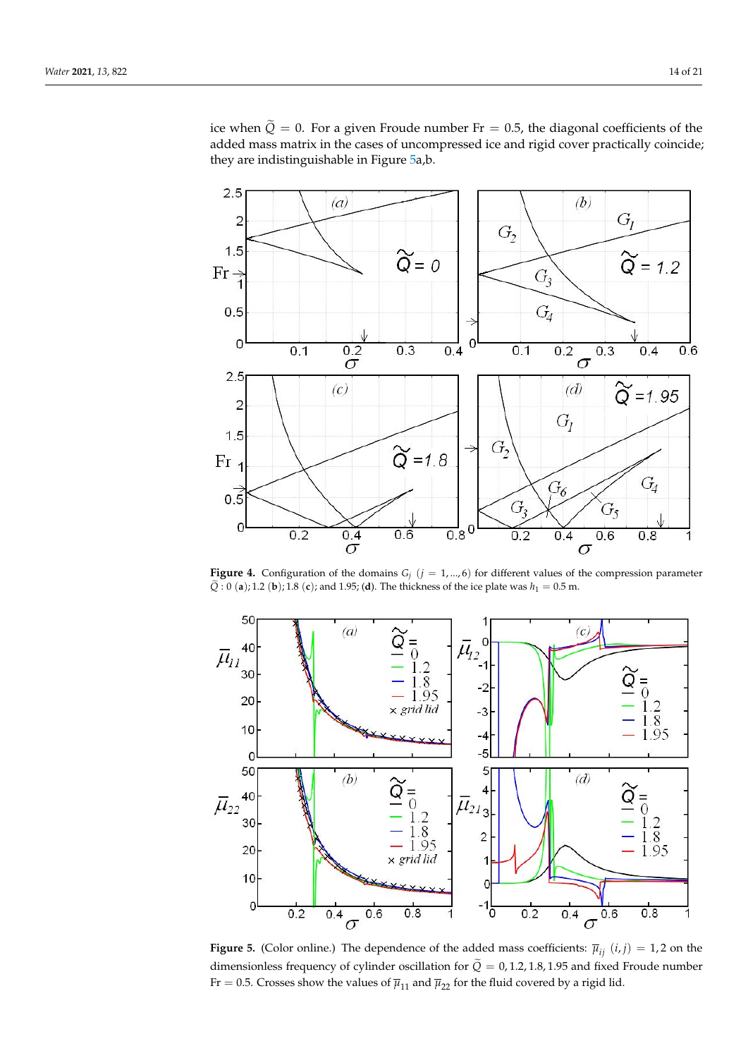ice when  $\tilde{Q} = 0$ . For a given Froude number Fr = 0.5, the diagonal coefficients of the added mass matrix in the cases of uncompressed ice and rigid cover practically coincide; they are indistinguishable in Figure [5a](#page-13-1),b.

<span id="page-13-0"></span>

**Figure 4.** Configuration of the domains  $G_i$  ( $j = 1, ..., 6$ ) for different values of the compression parameter  $\widetilde{Q}$ : 0 (**a**); 1.2 (**b**); 1.8 (**c**); and 1.95; (**d**). The thickness of the ice plate was  $h_1 = 0.5$  m.

<span id="page-13-1"></span>

**Figure 5.** (Color online.) The dependence of the added mass coefficients:  $\bar{\mu}_{ij}$  (*i*, *j*) = 1, 2 on the dimensionless frequency of cylinder oscillation for  $\tilde{Q} = 0, 1.2, 1.8, 1.95$  and fixed Froude number Fr = 0.5. Crosses show the values of  $\overline{\mu}_{11}$  and  $\overline{\mu}_{22}$  for the fluid covered by a rigid lid.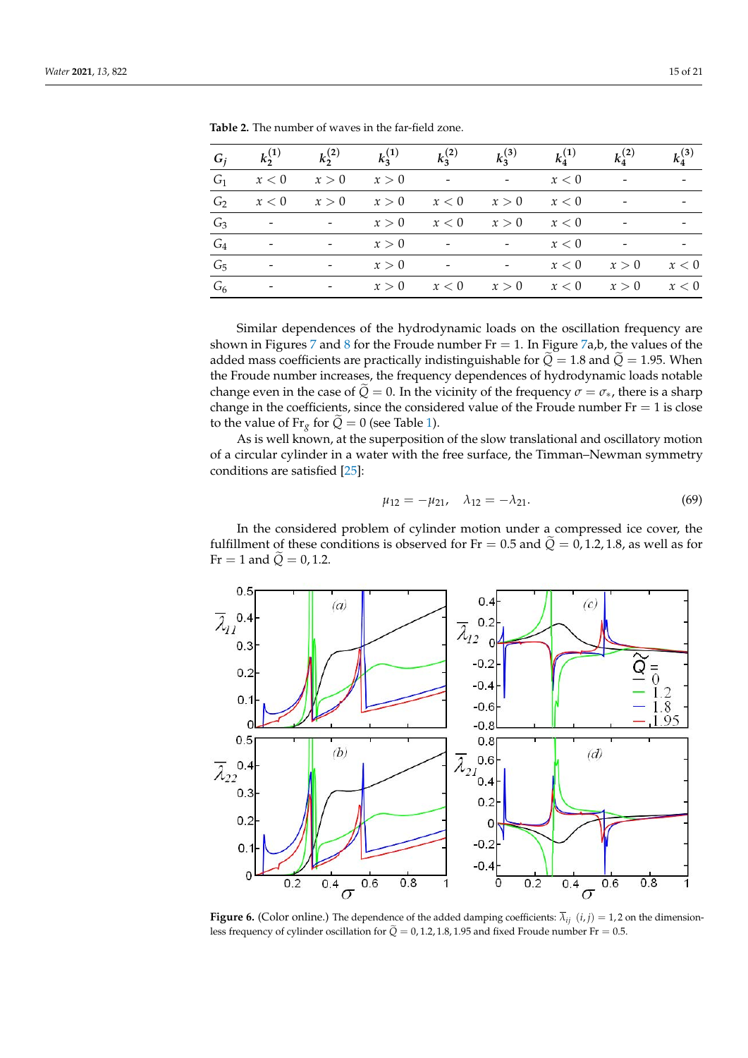| $G_i$          | $k_2^{(1)}$              | $k_2^{(2)}$                  | $k_3^{(1)}$ | $k_3^{(2)}$              | $k_3^{(3)}$              | $k_4^{(1)}$ | $k_4^{(2)}$ | $k_4^{(3)}$ |
|----------------|--------------------------|------------------------------|-------------|--------------------------|--------------------------|-------------|-------------|-------------|
| G <sub>1</sub> | x<0                      | x > 0                        | x > 0       | $\overline{\phantom{a}}$ | $-$                      | x < 0       |             |             |
| G <sub>2</sub> | x < 0                    | x > 0                        | x > 0       | x<0                      | x > 0                    | x < 0       |             |             |
| $G_3$          | $\overline{\phantom{a}}$ | $\overline{\phantom{a}}$     | x > 0       | x < 0                    | x > 0                    | x < 0       |             |             |
| $G_4$          |                          |                              | x > 0       |                          |                          | x<0         |             |             |
| G <sub>5</sub> |                          | $\qquad \qquad \blacksquare$ | x > 0       | $\overline{\phantom{a}}$ | $\overline{\phantom{a}}$ | x < 0       | x > 0       | x < 0       |
| G <sub>6</sub> |                          |                              | x > 0       | x < 0                    | x > 0                    | x < 0       | x > 0       | x<0         |

<span id="page-14-0"></span>**Table 2.** The number of waves in the far-field zone.

Similar dependences of the hydrodynamic loads on the oscillation frequency are shown in Figures [7](#page-15-0) and [8](#page-15-1) for the Froude number Fr = 1. In Figure [7a](#page-15-0),b, the values of the added mass coefficients are practically indistinguishable for  $\tilde{Q} = 1.8$  and  $\tilde{Q} = 1.95$ . When the Froude number increases, the frequency dependences of hydrodynamic loads notable change even in the case of  $\tilde{Q} = 0$ . In the vicinity of the frequency  $\sigma = \sigma_{*}$ , there is a sharp change in the coefficients, since the considered value of the Froude number  $Fr = 1$  is close to the value of Fr<sub>g</sub> for  $\tilde{Q} = 0$  (see Table [1\)](#page-12-0).

As is well known, at the superposition of the slow translational and oscillatory motion of a circular cylinder in a water with the free surface, the Timman–Newman symmetry conditions are satisfied [\[25\]](#page-19-17):

$$
\mu_{12} = -\mu_{21}, \quad \lambda_{12} = -\lambda_{21}.\tag{69}
$$

In the considered problem of cylinder motion under a compressed ice cover, the fulfillment of these conditions is observed for Fr = 0.5 and  $\tilde{Q} = 0$ , 1.2, 1.8, as well as for  $Fr = 1$  and  $\tilde{Q} = 0, 1.2$ .

<span id="page-14-1"></span>

**Figure 6.** (Color online.) The dependence of the added damping coefficients:  $\overline{\lambda}_{ij}$  ( $i, j$ ) = 1, 2 on the dimensionless frequency of cylinder oscillation for  $\tilde{Q} = 0, 1.2, 1.8, 1.95$  and fixed Froude number Fr = 0.5.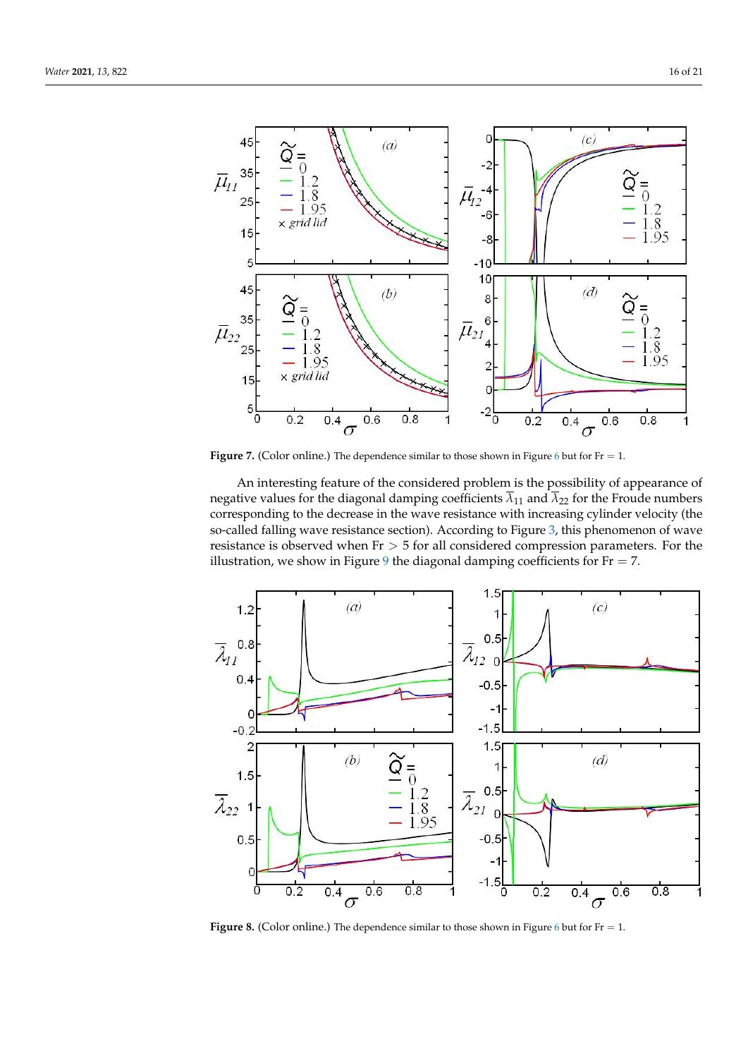<span id="page-15-0"></span>

**Figure 7.** (Color online.) The dependence similar to those shown in Figure [6](#page-14-1) but for  $Fr = 1$ .

An interesting feature of the considered problem is the possibility of appearance of negative values for the diagonal damping coefficients  $\overline{\lambda}_{11}$  and  $\overline{\lambda}_{22}$  for the Froude numbers corresponding to the decrease in the wave resistance with increasing cylinder velocity (the so-called falling wave resistance section). According to Figure [3,](#page-11-1) this phenomenon of wave resistance is observed when  $Fr > 5$  for all considered compression parameters. For the illustration, we show in Figure [9](#page-16-0) the diagonal damping coefficients for  $Fr = 7$ .

<span id="page-15-1"></span>

**Figure 8.** (Color online.) The dependence similar to those shown in Figure [6](#page-14-1) but for  $Fr = 1$ .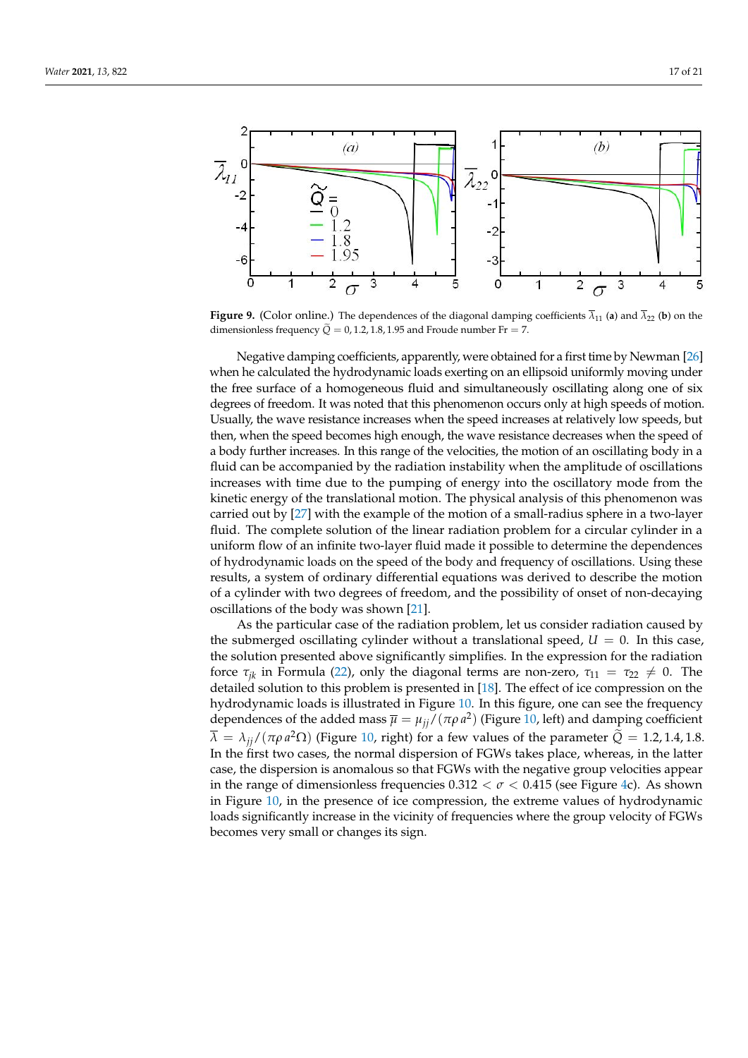<span id="page-16-0"></span>

**Figure 9.** (Color online.) The dependences of the diagonal damping coefficients  $\overline{\lambda}_{11}$  (a) and  $\overline{\lambda}_{22}$  (b) on the dimensionless frequency  $Q = 0, 1.2, 1.8, 1.95$  and Froude number Fr = 7.

Negative damping coefficients, apparently, were obtained for a first time by Newman [\[26\]](#page-19-18) when he calculated the hydrodynamic loads exerting on an ellipsoid uniformly moving under the free surface of a homogeneous fluid and simultaneously oscillating along one of six degrees of freedom. It was noted that this phenomenon occurs only at high speeds of motion. Usually, the wave resistance increases when the speed increases at relatively low speeds, but then, when the speed becomes high enough, the wave resistance decreases when the speed of a body further increases. In this range of the velocities, the motion of an oscillating body in a fluid can be accompanied by the radiation instability when the amplitude of oscillations increases with time due to the pumping of energy into the oscillatory mode from the kinetic energy of the translational motion. The physical analysis of this phenomenon was carried out by [\[27\]](#page-19-19) with the example of the motion of a small-radius sphere in a two-layer fluid. The complete solution of the linear radiation problem for a circular cylinder in a uniform flow of an infinite two-layer fluid made it possible to determine the dependences of hydrodynamic loads on the speed of the body and frequency of oscillations. Using these results, a system of ordinary differential equations was derived to describe the motion of a cylinder with two degrees of freedom, and the possibility of onset of non-decaying oscillations of the body was shown [\[21\]](#page-19-11).

As the particular case of the radiation problem, let us consider radiation caused by the submerged oscillating cylinder without a translational speed,  $U = 0$ . In this case, the solution presented above significantly simplifies. In the expression for the radiation force  $\tau_{ik}$  in Formula [\(22\)](#page-5-3), only the diagonal terms are non-zero,  $\tau_{11} = \tau_{22} \neq 0$ . The detailed solution to this problem is presented in [\[18\]](#page-19-9). The effect of ice compression on the hydrodynamic loads is illustrated in Figure [10.](#page-17-0) In this figure, one can see the frequency dependences of the added mass  $\overline{\mu} = \mu_{jj}/(\pi \rho a^2)$  (Figure [10,](#page-17-0) left) and damping coefficient  $\overline{\lambda} = \lambda_{jj}/(\pi \rho a^2 \Omega)$  (Figure [10,](#page-17-0) right) for a few values of the parameter  $\widetilde{Q} = 1.2, 1.4, 1.8$ . In the first two cases, the normal dispersion of FGWs takes place, whereas, in the latter case, the dispersion is anomalous so that FGWs with the negative group velocities appear in the range of dimensionless frequencies  $0.312 < \sigma < 0.415$  (see Figure [4c](#page-13-0)). As shown in Figure [10,](#page-17-0) in the presence of ice compression, the extreme values of hydrodynamic loads significantly increase in the vicinity of frequencies where the group velocity of FGWs becomes very small or changes its sign.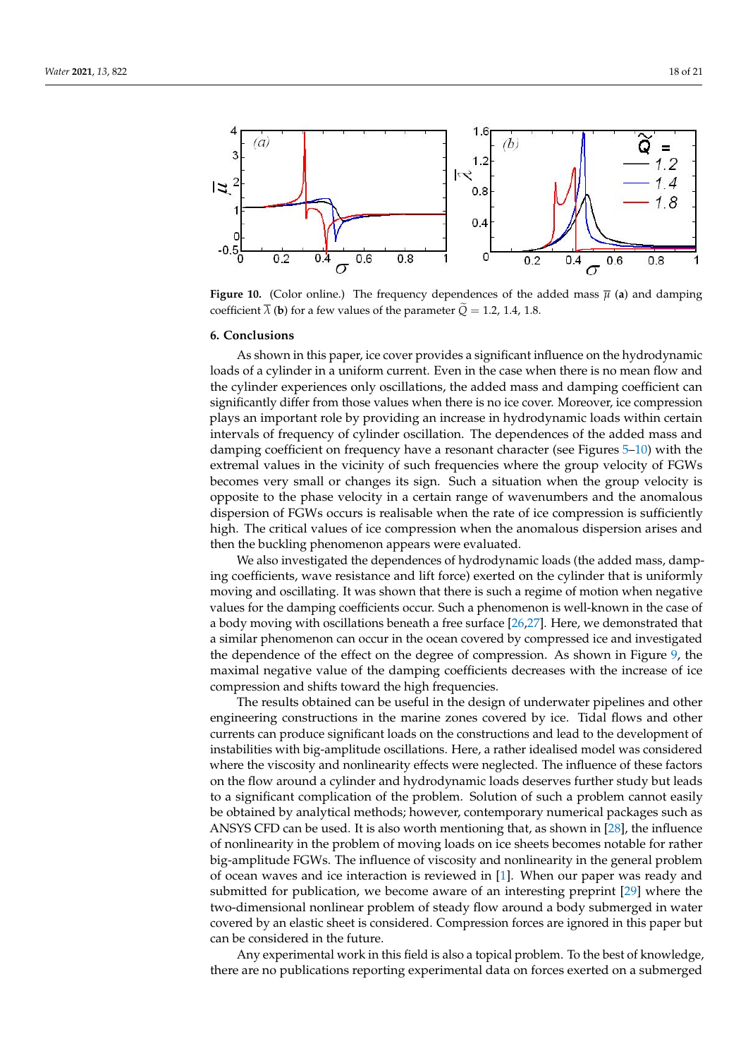<span id="page-17-0"></span>

**Figure 10.** (Color online.) The frequency dependences of the added mass  $\bar{\mu}$  (a) and damping coefficient  $\overline{\lambda}$  (**b**) for a few values of the parameter  $\widetilde{Q} = 1.2, 1.4, 1.8$ .

### **6. Conclusions**

As shown in this paper, ice cover provides a significant influence on the hydrodynamic loads of a cylinder in a uniform current. Even in the case when there is no mean flow and the cylinder experiences only oscillations, the added mass and damping coefficient can significantly differ from those values when there is no ice cover. Moreover, ice compression plays an important role by providing an increase in hydrodynamic loads within certain intervals of frequency of cylinder oscillation. The dependences of the added mass and damping coefficient on frequency have a resonant character (see Figures [5](#page-13-1)[–10\)](#page-17-0) with the extremal values in the vicinity of such frequencies where the group velocity of FGWs becomes very small or changes its sign. Such a situation when the group velocity is opposite to the phase velocity in a certain range of wavenumbers and the anomalous dispersion of FGWs occurs is realisable when the rate of ice compression is sufficiently high. The critical values of ice compression when the anomalous dispersion arises and then the buckling phenomenon appears were evaluated.

We also investigated the dependences of hydrodynamic loads (the added mass, damping coefficients, wave resistance and lift force) exerted on the cylinder that is uniformly moving and oscillating. It was shown that there is such a regime of motion when negative values for the damping coefficients occur. Such a phenomenon is well-known in the case of a body moving with oscillations beneath a free surface [\[26](#page-19-18)[,27\]](#page-19-19). Here, we demonstrated that a similar phenomenon can occur in the ocean covered by compressed ice and investigated the dependence of the effect on the degree of compression. As shown in Figure [9,](#page-16-0) the maximal negative value of the damping coefficients decreases with the increase of ice compression and shifts toward the high frequencies.

The results obtained can be useful in the design of underwater pipelines and other engineering constructions in the marine zones covered by ice. Tidal flows and other currents can produce significant loads on the constructions and lead to the development of instabilities with big-amplitude oscillations. Here, a rather idealised model was considered where the viscosity and nonlinearity effects were neglected. The influence of these factors on the flow around a cylinder and hydrodynamic loads deserves further study but leads to a significant complication of the problem. Solution of such a problem cannot easily be obtained by analytical methods; however, contemporary numerical packages such as ANSYS CFD can be used. It is also worth mentioning that, as shown in [\[28\]](#page-19-20), the influence of nonlinearity in the problem of moving loads on ice sheets becomes notable for rather big-amplitude FGWs. The influence of viscosity and nonlinearity in the general problem of ocean waves and ice interaction is reviewed in [\[1\]](#page-19-0). When our paper was ready and submitted for publication, we become aware of an interesting preprint [\[29\]](#page-19-21) where the two-dimensional nonlinear problem of steady flow around a body submerged in water covered by an elastic sheet is considered. Compression forces are ignored in this paper but can be considered in the future.

Any experimental work in this field is also a topical problem. To the best of knowledge, there are no publications reporting experimental data on forces exerted on a submerged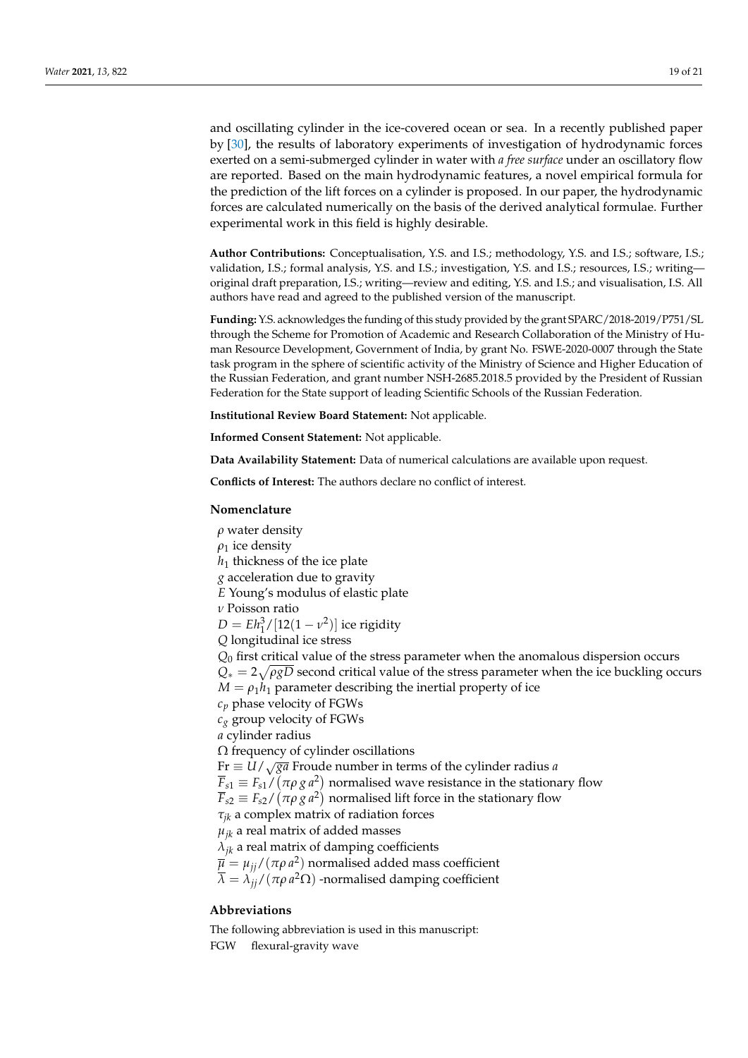and oscillating cylinder in the ice-covered ocean or sea. In a recently published paper by [\[30\]](#page-19-22), the results of laboratory experiments of investigation of hydrodynamic forces exerted on a semi-submerged cylinder in water with *a free surface* under an oscillatory flow are reported. Based on the main hydrodynamic features, a novel empirical formula for the prediction of the lift forces on a cylinder is proposed. In our paper, the hydrodynamic forces are calculated numerically on the basis of the derived analytical formulae. Further experimental work in this field is highly desirable.

**Author Contributions:** Conceptualisation, Y.S. and I.S.; methodology, Y.S. and I.S.; software, I.S.; validation, I.S.; formal analysis, Y.S. and I.S.; investigation, Y.S. and I.S.; resources, I.S.; writing original draft preparation, I.S.; writing—review and editing, Y.S. and I.S.; and visualisation, I.S. All authors have read and agreed to the published version of the manuscript.

**Funding:** Y.S. acknowledges the funding of this study provided by the grant SPARC/2018-2019/P751/SL through the Scheme for Promotion of Academic and Research Collaboration of the Ministry of Human Resource Development, Government of India, by grant No. FSWE-2020-0007 through the State task program in the sphere of scientific activity of the Ministry of Science and Higher Education of the Russian Federation, and grant number NSH-2685.2018.5 provided by the President of Russian Federation for the State support of leading Scientific Schools of the Russian Federation.

**Institutional Review Board Statement:** Not applicable.

**Informed Consent Statement:** Not applicable.

**Data Availability Statement:** Data of numerical calculations are available upon request.

**Conflicts of Interest:** The authors declare no conflict of interest.

#### **Nomenclature**

*ρ* water density

*ρ*<sup>1</sup> ice density

*h*<sup>1</sup> thickness of the ice plate

*g* acceleration due to gravity

*E* Young's modulus of elastic plate

*ν* Poisson ratio

 $D = E h_1^3 / [12(1 - v^2)]$  ice rigidity

*Q* longitudinal ice stress

*Q*<sup>0</sup> first critical value of the stress parameter when the anomalous dispersion occurs *Q*∗ = 2 p *ρgD* second critical value of the stress parameter when the ice buckling occurs  $M = \rho_1 h_1$  parameter describing the inertial property of ice

*c<sup>p</sup>* phase velocity of FGWs

*c<sup>g</sup>* group velocity of FGWs

*a* cylinder radius

 $\Omega$  frequency of cylinder oscillations

Fr ≡ *U*/ <sup>√</sup>*ga* Froude number in terms of the cylinder radius *<sup>a</sup>*

 $\overline{F}_{s1} \equiv F_{s1}/(\pi \rho g a^2)$  normalised wave resistance in the stationary flow

 $\overline{F}_{s2} \equiv F_{s2}/\left(\pi \rho \, g \, a^2\right)$  normalised lift force in the stationary flow

*τjk* a complex matrix of radiation forces

 $\mu_{ik}$  a real matrix of added masses

*λjk* a real matrix of damping coefficients

 $\overline{\mu} = \mu_{jj}/(\pi \rho \, a^2)$  normalised added mass coefficient

 $\overline{\lambda} = \lambda_{jj} / (\pi \rho \, a^2 \Omega)$  -normalised damping coefficient

# **Abbreviations**

The following abbreviation is used in this manuscript: FGW flexural-gravity wave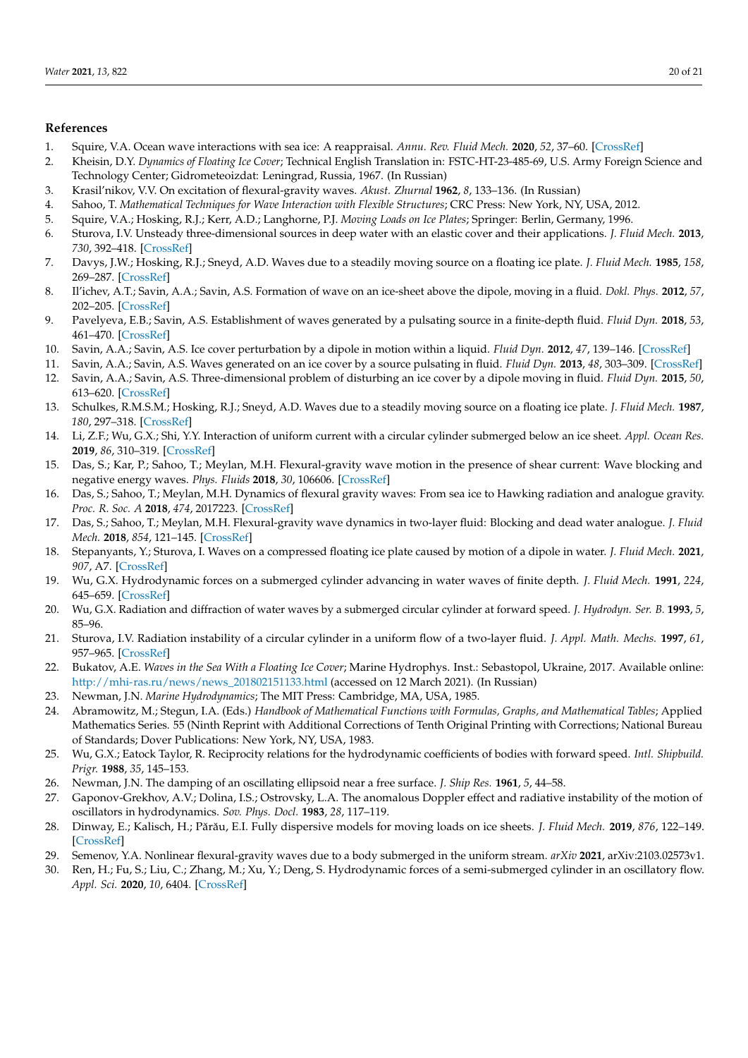# **References**

- <span id="page-19-0"></span>1. Squire, V.A. Ocean wave interactions with sea ice: A reappraisal. *Annu. Rev. Fluid Mech.* **2020**, *52*, 37–60. [\[CrossRef\]](http://doi.org/10.1146/annurev-fluid-010719-060301)
- <span id="page-19-1"></span>2. Kheisin, D.Y. *Dynamics of Floating Ice Cover*; Technical English Translation in: FSTC-HT-23-485-69, U.S. Army Foreign Science and Technology Center; Gidrometeoizdat: Leningrad, Russia, 1967. (In Russian)
- <span id="page-19-2"></span>3. Krasil'nikov, V.V. On excitation of flexural-gravity waves. *Akust. Zhurnal* **1962**, *8*, 133–136. (In Russian)
- <span id="page-19-3"></span>4. Sahoo, T. *Mathematical Techniques for Wave Interaction with Flexible Structures*; CRC Press: New York, NY, USA, 2012.
- <span id="page-19-16"></span>5. Squire, V.A.; Hosking, R.J.; Kerr, A.D.; Langhorne, P.J. *Moving Loads on Ice Plates*; Springer: Berlin, Germany, 1996.
- <span id="page-19-4"></span>6. Sturova, I.V. Unsteady three-dimensional sources in deep water with an elastic cover and their applications. *J. Fluid Mech.* **2013**, *730*, 392–418. [\[CrossRef\]](http://dx.doi.org/10.1017/jfm.2013.303)
- <span id="page-19-5"></span>7. Davys, J.W.; Hosking, R.J.; Sneyd, A.D. Waves due to a steadily moving source on a floating ice plate. *J. Fluid Mech.* **1985**, *158*, 269–287. [\[CrossRef\]](http://dx.doi.org/10.1017/S0022112085002646)
- 8. Il'ichev, A.T.; Savin, A.A.; Savin, A.S. Formation of wave on an ice-sheet above the dipole, moving in a fluid. *Dokl. Phys.* **2012**, *57*, 202–205. [\[CrossRef\]](http://dx.doi.org/10.1134/S1028335812050059)
- 9. Pavelyeva, E.B.; Savin, A.S. Establishment of waves generated by a pulsating source in a finite-depth fluid. *Fluid Dyn.* **2018**, *53*, 461–470. [\[CrossRef\]](http://dx.doi.org/10.1134/S0015462818040109)
- 10. Savin, A.A.; Savin, A.S. Ice cover perturbation by a dipole in motion within a liquid. *Fluid Dyn.* **2012**, *47*, 139–146. [\[CrossRef\]](http://dx.doi.org/10.1134/S0015462812020019)
- 11. Savin, A.A.; Savin, A.S. Waves generated on an ice cover by a source pulsating in fluid. *Fluid Dyn.* **2013**, *48*, 303–309. [\[CrossRef\]](http://dx.doi.org/10.1134/S0015462813030034)
- 12. Savin, A.A.; Savin, A.S. Three-dimensional problem of disturbing an ice cover by a dipole moving in fluid. *Fluid Dyn.* **2015**, *50*, 613–620. [\[CrossRef\]](http://dx.doi.org/10.1134/S0015462815050026)
- <span id="page-19-6"></span>13. Schulkes, R.M.S.M.; Hosking, R.J.; Sneyd, A.D. Waves due to a steadily moving source on a floating ice plate. *J. Fluid Mech.* **1987**, *180*, 297–318. [\[CrossRef\]](http://dx.doi.org/10.1017/S0022112087001812)
- <span id="page-19-7"></span>14. Li, Z.F.; Wu, G.X.; Shi, Y.Y. Interaction of uniform current with a circular cylinder submerged below an ice sheet. *Appl. Ocean Res.* **2019**, *86*, 310–319. [\[CrossRef\]](http://dx.doi.org/10.1016/j.apor.2018.12.007)
- <span id="page-19-8"></span>15. Das, S.; Kar, P.; Sahoo, T.; Meylan, M.H. Flexural-gravity wave motion in the presence of shear current: Wave blocking and negative energy waves. *Phys. Fluids* **2018**, *30*, 106606. [\[CrossRef\]](http://dx.doi.org/10.1063/1.5052228)
- 16. Das, S.; Sahoo, T.; Meylan, M.H. Dynamics of flexural gravity waves: From sea ice to Hawking radiation and analogue gravity. *Proc. R. Soc. A* **2018**, *474*, 2017223. [\[CrossRef\]](http://dx.doi.org/10.1098/rspa.2017.0223)
- 17. Das, S.; Sahoo, T.; Meylan, M.H. Flexural-gravity wave dynamics in two-layer fluid: Blocking and dead water analogue. *J. Fluid Mech.* **2018**, *854*, 121–145. [\[CrossRef\]](http://dx.doi.org/10.1017/jfm.2018.617)
- <span id="page-19-9"></span>18. Stepanyants, Y.; Sturova, I. Waves on a compressed floating ice plate caused by motion of a dipole in water. *J. Fluid Mech.* **2021**, *907*, A7. [\[CrossRef\]](http://dx.doi.org/10.1017/jfm.2020.764)
- <span id="page-19-10"></span>19. Wu, G.X. Hydrodynamic forces on a submerged cylinder advancing in water waves of finite depth. *J. Fluid Mech.* **1991**, *224*, 645–659. [\[CrossRef\]](http://dx.doi.org/10.1017/S002211209100191X)
- <span id="page-19-14"></span>20. Wu, G.X. Radiation and diffraction of water waves by a submerged circular cylinder at forward speed. *J. Hydrodyn. Ser. B.* **1993**, *5*, 85–96.
- <span id="page-19-11"></span>21. Sturova, I.V. Radiation instability of a circular cylinder in a uniform flow of a two-layer fluid. *J. Appl. Math. Mechs.* **1997**, *61*, 957–965. [\[CrossRef\]](http://dx.doi.org/10.1016/S0021-8928(97)00124-X)
- <span id="page-19-12"></span>22. Bukatov, A.E. *Waves in the Sea With a Floating Ice Cover*; Marine Hydrophys. Inst.: Sebastopol, Ukraine, 2017. Available online: [http://mhi-ras.ru/news/news\\_201802151133.html]( http://mhi-ras.ru/news/news_201802151133.html) (accessed on 12 March 2021). (In Russian)
- <span id="page-19-13"></span>23. Newman, J.N. *Marine Hydrodynamics*; The MIT Press: Cambridge, MA, USA, 1985.
- <span id="page-19-15"></span>24. Abramowitz, M.; Stegun, I.A. (Eds.) *Handbook of Mathematical Functions with Formulas, Graphs, and Mathematical Tables*; Applied Mathematics Series. 55 (Ninth Reprint with Additional Corrections of Tenth Original Printing with Corrections; National Bureau of Standards; Dover Publications: New York, NY, USA, 1983.
- <span id="page-19-17"></span>25. Wu, G.X.; Eatock Taylor, R. Reciprocity relations for the hydrodynamic coefficients of bodies with forward speed. *Intl. Shipbuild. Prigr.* **1988**, *35*, 145–153.
- <span id="page-19-18"></span>26. Newman, J.N. The damping of an oscillating ellipsoid near a free surface. *J. Ship Res.* **1961**, *5*, 44–58.
- <span id="page-19-19"></span>27. Gaponov-Grekhov, A.V.; Dolina, I.S.; Ostrovsky, L.A. The anomalous Doppler effect and radiative instability of the motion of oscillators in hydrodynamics. *Sov. Phys. Docl.* **1983**, *28*, 117–119.
- <span id="page-19-20"></span>28. Dinway, E.; Kalisch, H.; Părău, E.I. Fully dispersive models for moving loads on ice sheets. *J. Fluid Mech.* 2019, 876, 122-149. [\[CrossRef\]](http://dx.doi.org/10.1017/jfm.2019.530)
- <span id="page-19-21"></span>29. Semenov, Y.A. Nonlinear flexural-gravity waves due to a body submerged in the uniform stream. *arXiv* **2021**, arXiv:2103.02573v1.
- <span id="page-19-22"></span>30. Ren, H.; Fu, S.; Liu, C.; Zhang, M.; Xu, Y.; Deng, S. Hydrodynamic forces of a semi-submerged cylinder in an oscillatory flow. *Appl. Sci.* **2020**, *10*, 6404. [\[CrossRef\]](http://dx.doi.org/10.3390/app10186404)